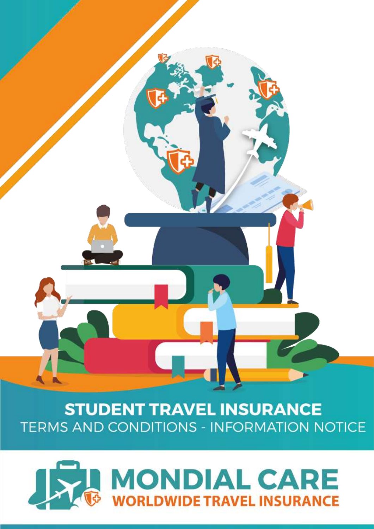

# **STUDENT TRAVEL INSURANCE TERMS AND CONDITIONS - INFORMATION NOTICE**

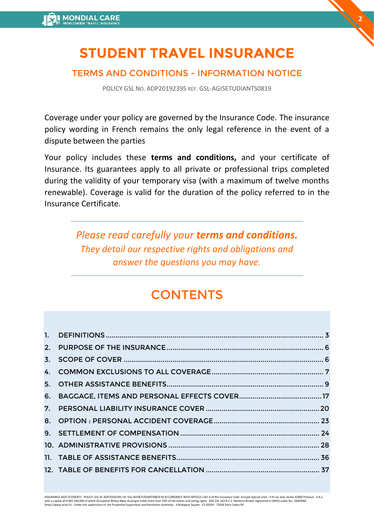# **STUDENT TRAVEL INSURANCE**

**2**

# TERMS AND CONDITIONS - INFORMATION NOTICE

POLICY GSL NO. ADP20192395 REF. GSL-AGISETUDIANTS0819

Coverage under your policy are governed by the Insurance Code. The insurance policy wording in French remains the only legal reference in the event of a dispute between the parties

Your policy includes these **terms and conditions,** and your certificate of Insurance. Its guarantees apply to all private or professional trips completed during the validity of your temporary visa (with a maximum of twelve months renewable). Coverage is valid for the duration of the policy referred to in the Insurance Certificate.

> *Please read carefully your terms and conditions. They detail our respective rights and obligations and answer the questions you may have.*

# **CONTENTS**

ASSURANCE-AGIS-STUDENTS - POLICY GSL N° ADP20192395 ref. GSL-AGISETUDIANTS0819 IN ACCORDANCE WITH ARTICLE L141-4 of the Insurance Code. Groupe Special Lines - 6-8 rue Jean Jaurès 92800 Puteaux - S.A.S. with a capital of EURO 100,000 of which Groupama Rhône Alpes Auvergne holds more than 10% of the shares and voting rights - 820 232 163 R.C.S. Nanterre Broker registered in ORIAS under No. 16003981<br>(http://www.orias.fr) -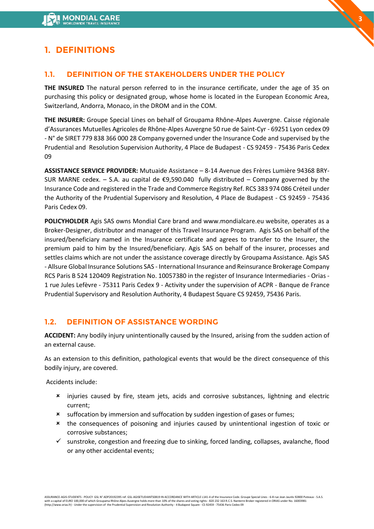# <span id="page-2-0"></span>**1. DEFINITIONS**

# **1.1. DEFINITION OF THE STAKEHOLDERS UNDER THE POLICY**

**THE INSURED** The natural person referred to in the insurance certificate, under the age of 35 on purchasing this policy or designated group, whose home is located in the European Economic Area, Switzerland, Andorra, Monaco, in the DROM and in the COM.

**3**

**THE INSURER:** Groupe Special Lines on behalf of Groupama Rhône-Alpes Auvergne. Caisse régionale d'Assurances Mutuelles Agricoles de Rhône-Alpes Auvergne 50 rue de Saint-Cyr - 69251 Lyon cedex 09 - N° de SIRET 779 838 366 000 28 Company governed under the Insurance Code and supervised by the Prudential and Resolution Supervision Authority, 4 Place de Budapest - CS 92459 - 75436 Paris Cedex 09

**ASSISTANCE SERVICE PROVIDER:** Mutuaide Assistance – 8-14 Avenue des Frères Lumière 94368 BRY-SUR MARNE cedex. – S.A. au capital de  $\epsilon$ 9.590.040 fully distributed – Company governed by the Insurance Code and registered in the Trade and Commerce Registry Ref. RCS 383 974 086 Créteil under the Authority of the Prudential Supervisory and Resolution, 4 Place de Budapest - CS 92459 - 75436 Paris Cedex 09.

**POLICYHOLDER** Agis SAS owns Mondial Care brand and www.mondialcare.eu website, operates as a Broker-Designer, distributor and manager of this Travel Insurance Program. Agis SAS on behalf of the insured/beneficiary named in the Insurance certificate and agrees to transfer to the Insurer, the premium paid to him by the Insured/beneficiary. Agis SAS on behalf of the insurer, processes and settles claims which are not under the assistance coverage directly by Groupama Assistance. Agis SAS - Allsure Global Insurance Solutions SAS - International Insurance and Reinsurance Brokerage Company RCS Paris B 524 120409 Registration No. 10057380 in the register of Insurance Intermediaries - Orias - 1 rue Jules Lefèvre - 75311 Paris Cedex 9 - Activity under the supervision of ACPR - Banque de France Prudential Supervisory and Resolution Authority, 4 Budapest Square CS 92459, 75436 Paris.

# **1.2. DEFINITION OF ASSISTANCE WORDING**

**ACCIDENT:** Any bodily injury unintentionally caused by the Insured, arising from the sudden action of an external cause.

As an extension to this definition, pathological events that would be the direct consequence of this bodily injury, are covered.

Accidents include:

- injuries caused by fire, steam jets, acids and corrosive substances, lightning and electric current;
- suffocation by immersion and suffocation by sudden ingestion of gases or fumes;
- \* the consequences of poisoning and injuries caused by unintentional ingestion of toxic or corrosive substances;
- $\checkmark$  sunstroke, congestion and freezing due to sinking, forced landing, collapses, avalanche, flood or any other accidental events;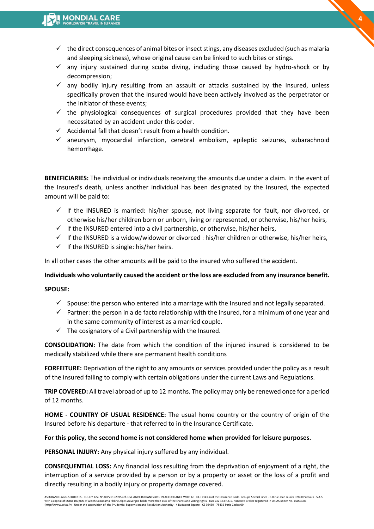$\checkmark$  the direct consequences of animal bites or insect stings, any diseases excluded (such as malaria and sleeping sickness), whose original cause can be linked to such bites or stings.

**4**

- $\checkmark$  any injury sustained during scuba diving, including those caused by hydro-shock or by decompression;
- $\checkmark$  any bodily injury resulting from an assault or attacks sustained by the Insured, unless specifically proven that the Insured would have been actively involved as the perpetrator or the initiator of these events;
- $\checkmark$  the physiological consequences of surgical procedures provided that they have been necessitated by an accident under this coder.
- $\checkmark$  Accidental fall that doesn't result from a health condition.
- $\checkmark$  aneurysm, myocardial infarction, cerebral embolism, epileptic seizures, subarachnoid hemorrhage.

**BENEFICIARIES:** The individual or individuals receiving the amounts due under a claim. In the event of the Insured's death, unless another individual has been designated by the Insured, the expected amount will be paid to:

- $\checkmark$  If the INSURED is married: his/her spouse, not living separate for fault, nor divorced, or otherwise his/her children born or unborn, living or represented, or otherwise, his/her heirs,
- $\checkmark$  If the INSURED entered into a civil partnership, or otherwise, his/her heirs,
- $\checkmark$  If the INSURED is a widow/widower or divorced : his/her children or otherwise, his/her heirs,
- $\checkmark$  If the INSURED is single: his/her heirs.

In all other cases the other amounts will be paid to the insured who suffered the accident.

#### **Individuals who voluntarily caused the accident or the loss are excluded from any insurance benefit.**

#### **SPOUSE:**

- $\checkmark$  Spouse: the person who entered into a marriage with the Insured and not legally separated.
- $\checkmark$  Partner: the person in a de facto relationship with the Insured, for a minimum of one year and in the same community of interest as a married couple.
- $\checkmark$  The cosignatory of a Civil partnership with the Insured.

**CONSOLIDATION:** The date from which the condition of the injured insured is considered to be medically stabilized while there are permanent health conditions

**FORFEITURE:** Deprivation of the right to any amounts or services provided under the policy as a result of the insured failing to comply with certain obligations under the current Laws and Regulations.

**TRIP COVERED:** All travel abroad of up to 12 months. The policy may only be renewed once for a period of 12 months.

**HOME - COUNTRY OF USUAL RESIDENCE:** The usual home country or the country of origin of the Insured before his departure - that referred to in the Insurance Certificate.

#### **For this policy, the second home is not considered home when provided for leisure purposes.**

**PERSONAL INJURY:** Any physical injury suffered by any individual.

**CONSEQUENTIAL LOSS:** Any financial loss resulting from the deprivation of enjoyment of a right, the interruption of a service provided by a person or by a property or asset or the loss of a profit and directly resulting in a bodily injury or property damage covered.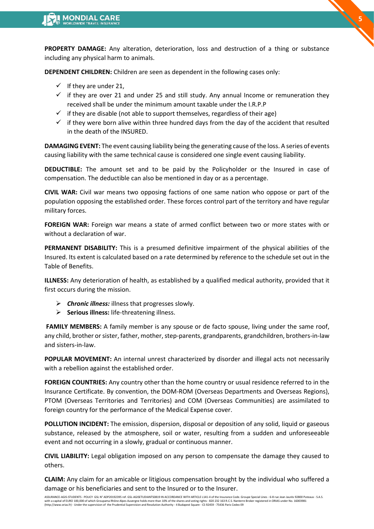**PROPERTY DAMAGE:** Any alteration, deterioration, loss and destruction of a thing or substance including any physical harm to animals.

**DEPENDENT CHILDREN:** Children are seen as dependent in the following cases only:

- $\checkmark$  If they are under 21,
- $\checkmark$  if they are over 21 and under 25 and still study. Any annual Income or remuneration they received shall be under the minimum amount taxable under the I.R.P.P
- $\checkmark$  if they are disable (not able to support themselves, regardless of their age)
- $\checkmark$  if they were born alive within three hundred days from the day of the accident that resulted in the death of the INSURED.

**DAMAGING EVENT:** The event causing liability being the generating cause of the loss. A series of events causing liability with the same technical cause is considered one single event causing liability.

**DEDUCTIBLE:** The amount set and to be paid by the Policyholder or the Insured in case of compensation. The deductible can also be mentioned in day or as a percentage.

**CIVIL WAR:** Civil war means two opposing factions of one same nation who oppose or part of the population opposing the established order. These forces control part of the territory and have regular military forces.

**FOREIGN WAR:** Foreign war means a state of armed conflict between two or more states with or without a declaration of war.

**PERMANENT DISABILITY:** This is a presumed definitive impairment of the physical abilities of the Insured. Its extent is calculated based on a rate determined by reference to the schedule set out in the Table of Benefits.

**ILLNESS:** Any deterioration of health, as established by a qualified medical authority, provided that it first occurs during the mission.

- ➢ *Chronic illness:* illness that progresses slowly.
- ➢ **Serious illness:** life-threatening illness.

**FAMILY MEMBERS:** A family member is any spouse or de facto spouse, living under the same roof, any child, brother or sister, father, mother, step-parents, grandparents, grandchildren, brothers-in-law and sisters-in-law.

**POPULAR MOVEMENT:** An internal unrest characterized by disorder and illegal acts not necessarily with a rebellion against the established order.

**FOREIGN COUNTRIES:** Any country other than the home country or usual residence referred to in the Insurance Certificate. By convention, the DOM-ROM (Overseas Departments and Overseas Regions), PTOM (Overseas Territories and Territories) and COM (Overseas Communities) are assimilated to foreign country for the performance of the Medical Expense cover.

**POLLUTION INCIDENT:** The emission, dispersion, disposal or deposition of any solid, liquid or gaseous substance, released by the atmosphere, soil or water, resulting from a sudden and unforeseeable event and not occurring in a slowly, gradual or continuous manner.

**CIVIL LIABILITY:** Legal obligation imposed on any person to compensate the damage they caused to others.

**CLAIM:** Any claim for an amicable or litigious compensation brought by the individual who suffered a damage or his beneficiaries and sent to the Insured or to the Insurer.

**5**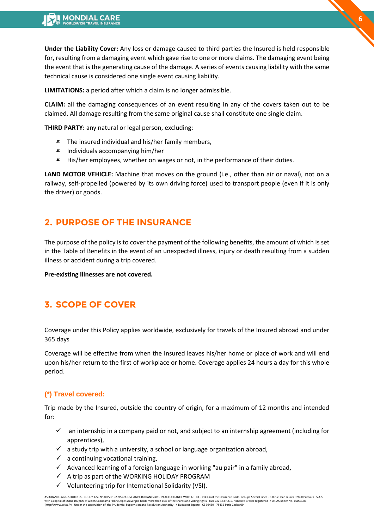**Under the Liability Cover:** Any loss or damage caused to third parties the Insured is held responsible for, resulting from a damaging event which gave rise to one or more claims. The damaging event being the event that is the generating cause of the damage. A series of events causing liability with the same technical cause is considered one single event causing liability.

**LIMITATIONS:** a period after which a claim is no longer admissible.

**CLAIM:** all the damaging consequences of an event resulting in any of the covers taken out to be claimed. All damage resulting from the same original cause shall constitute one single claim.

**THIRD PARTY:** any natural or legal person, excluding:

- **\*** The insured individual and his/her family members,
- Individuals accompanying him/her
- His/her employees, whether on wages or not, in the performance of their duties.

**LAND MOTOR VEHICLE:** Machine that moves on the ground (i.e., other than air or naval), not on a railway, self-propelled (powered by its own driving force) used to transport people (even if it is only the driver) or goods.

# <span id="page-5-0"></span>**2. PURPOSE OF THE INSURANCE**

The purpose of the policy is to cover the payment of the following benefits, the amount of which is set in the Table of Benefits in the event of an unexpected illness, injury or death resulting from a sudden illness or accident during a trip covered.

**Pre-existing illnesses are not covered.** 

# <span id="page-5-1"></span>**3. SCOPE OF COVER**

Coverage under this Policy applies worldwide, exclusively for travels of the Insured abroad and under 365 days

Coverage will be effective from when the Insured leaves his/her home or place of work and will end upon his/her return to the first of workplace or home. Coverage applies 24 hours a day for this whole period.

### **(\*) Travel covered:**

Trip made by the Insured, outside the country of origin, for a maximum of 12 months and intended for:

- $\checkmark$  an internship in a company paid or not, and subject to an internship agreement (including for apprentices),
- $\checkmark$  a study trip with a university, a school or language organization abroad,
- $\checkmark$  a continuing vocational training,
- $\checkmark$  Advanced learning of a foreign language in working "au pair" in a family abroad,
- $\checkmark$  A trip as part of the WORKING HOLIDAY PROGRAM
- ✓ Volunteering trip for International Solidarity (VSI).

ASSURANCE-AGIS-STUDENTS - POLICY GSL N° ADP20192395 ref. GSL-AGISETUDIANTS0819 IN ACCORDANCE WITH ARTICLE L141-4 of the Insurance Code. Groupe Special Lines - 6-8 rue Jean Jaurès 92800 Puteaux - S.A.S.<br>with a capital of EU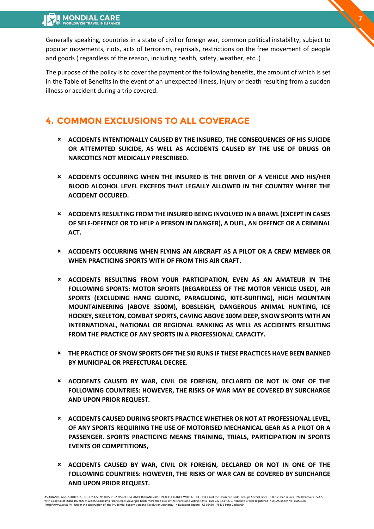Generally speaking, countries in a state of civil or foreign war, common political instability, subject to popular movements, riots, acts of terrorism, reprisals, restrictions on the free movement of people and goods ( regardless of the reason, including health, safety, weather, etc..)

**7**

The purpose of the policy is to cover the payment of the following benefits, the amount of which is set in the Table of Benefits in the event of an unexpected illness, injury or death resulting from a sudden illness or accident during a trip covered.

# **4. COMMON EXCLUSIONS TO ALL COVERAGE**

- <span id="page-6-0"></span> **ACCIDENTS INTENTIONALLY CAUSED BY THE INSURED, THE CONSEQUENCES OF HIS SUICIDE OR ATTEMPTED SUICIDE, AS WELL AS ACCIDENTS CAUSED BY THE USE OF DRUGS OR NARCOTICS NOT MEDICALLY PRESCRIBED.**
- **ACCIDENTS OCCURRING WHEN THE INSURED IS THE DRIVER OF A VEHICLE AND HIS/HER BLOOD ALCOHOL LEVEL EXCEEDS THAT LEGALLY ALLOWED IN THE COUNTRY WHERE THE ACCIDENT OCCURED.**
- **ACCIDENTS RESULTING FROM THE INSURED BEING INVOLVED IN A BRAWL (EXCEPT IN CASES OF SELF-DEFENCE OR TO HELP A PERSON IN DANGER), A DUEL, AN OFFENCE OR A CRIMINAL ACT.**
- **ACCIDENTS OCCURRING WHEN FLYING AN AIRCRAFT AS A PILOT OR A CREW MEMBER OR WHEN PRACTICING SPORTS WITH OF FROM THIS AIR CRAFT.**
- **ACCIDENTS RESULTING FROM YOUR PARTICIPATION, EVEN AS AN AMATEUR IN THE FOLLOWING SPORTS: MOTOR SPORTS (REGARDLESS OF THE MOTOR VEHICLE USED), AIR SPORTS (EXCLUDING HANG GLIDING, PARAGLIDING, KITE-SURFING), HIGH MOUNTAIN MOUNTAINEERING (ABOVE 3500M), BOBSLEIGH, DANGEROUS ANIMAL HUNTING, ICE HOCKEY, SKELETON, COMBAT SPORTS, CAVING ABOVE 100M DEEP, SNOW SPORTS WITH AN INTERNATIONAL, NATIONAL OR REGIONAL RANKING AS WELL AS ACCIDENTS RESULTING FROM THE PRACTICE OF ANY SPORTS IN A PROFESSIONAL CAPACITY.**
- **THE PRACTICE OF SNOW SPORTS OFF THE SKI RUNS IF THESE PRACTICES HAVE BEEN BANNED BY MUNICIPAL OR PREFECTURAL DECREE.**
- **ACCIDENTS CAUSED BY WAR, CIVIL OR FOREIGN, DECLARED OR NOT IN ONE OF THE FOLLOWING COUNTRIES: HOWEVER, THE RISKS OF WAR MAY BE COVERED BY SURCHARGE AND UPON PRIOR REQUEST.**
- **ACCIDENTS CAUSED DURING SPORTS PRACTICE WHETHER OR NOT AT PROFESSIONAL LEVEL, OF ANY SPORTS REQUIRING THE USE OF MOTORISED MECHANICAL GEAR AS A PILOT OR A PASSENGER. SPORTS PRACTICING MEANS TRAINING, TRIALS, PARTICIPATION IN SPORTS EVENTS OR COMPETITIONS,**
- **ACCIDENTS CAUSED BY WAR, CIVIL OR FOREIGN, DECLARED OR NOT IN ONE OF THE FOLLOWING COUNTRIES: HOWEVER, THE RISKS OF WAR CAN BE COVERED BY SURCHARGE AND UPON PRIOR REQUEST.**

ASSURANCE-AGIS-STUDENTS - POLICY GSL N° ADP20192395 ref. GSL-AGISETUDIANTS0819 IN ACCORDANCE WITH ARTICLE L141-4 of the Insurance Code. Groupe Special Lines - 6-8 rue Jean Jaurès 92800 Puteaux - S.A.S.<br>with a capital of EU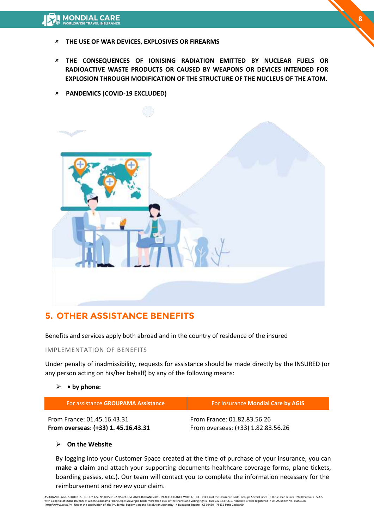- **THE USE OF WAR DEVICES, EXPLOSIVES OR FIREARMS**
- **THE CONSEQUENCES OF IONISING RADIATION EMITTED BY NUCLEAR FUELS OR RADIOACTIVE WASTE PRODUCTS OR CAUSED BY WEAPONS OR DEVICES INTENDED FOR EXPLOSION THROUGH MODIFICATION OF THE STRUCTURE OF THE NUCLEUS OF THE ATOM.**
- **PANDEMICS (COVID-19 EXCLUDED)**



# **5. OTHER ASSISTANCE BENEFITS**

Benefits and services apply both abroad and in the country of residence of the insured

#### IMPLEMENTATION OF BENEFITS

Under penalty of inadmissibility, requests for assistance should be made directly by the INSURED (or any person acting on his/her behalf) by any of the following means:

#### ➢ **• by phone:**

| For assistance GROUPAMA Assistance  | For Insurance Mondial Care by AGIS |
|-------------------------------------|------------------------------------|
| From France: 01.45.16.43.31         | From France: 01.82.83.56.26        |
| From overseas: (+33) 1. 45.16.43.31 | From overseas: (+33) 1.82.83.56.26 |

#### ➢ **On the Website**

By logging into your Customer Space created at the time of purchase of your insurance, you can **make a claim** and attach your supporting documents healthcare coverage forms, plane tickets, boarding passes, etc.). Our team will contact you to complete the information necessary for the reimbursement and review your claim.

ASSURANCE-AGIS-STUDENTS - POLICY GSL N° ADP20192395 ref. GSL-AGISETUDIANTS0819 IN ACCORDANCE WITH ARTICLE L141-4 of the Insurance Code. Groupe Special Lines - 6-8 rue Jean Jaurès 92800 Puteaux - S.A.S.<br>with a capital of EU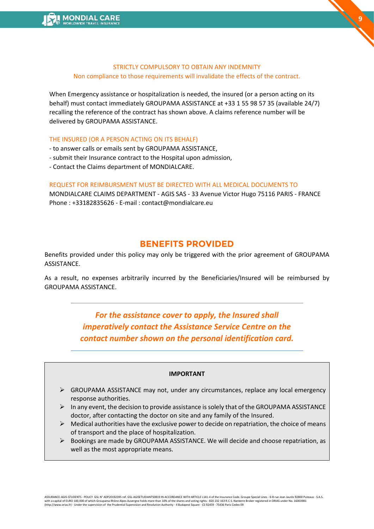#### <span id="page-8-0"></span>STRICTLY COMPULSORY TO OBTAIN ANY INDEMNITY Non compliance to those requirements will invalidate the effects of the contract.

When Emergency assistance or hospitalization is needed, the insured (or a person acting on its behalf) must contact immediately GROUPAMA ASSISTANCE at +33 1 55 98 57 35 (available 24/7) recalling the reference of the contract has shown above. A claims reference number will be delivered by GROUPAMA ASSISTANCE.

#### THE INSURED (OR A PERSON ACTING ON ITS BEHALF)

- to answer calls or emails sent by GROUPAMA ASSISTANCE,
- submit their Insurance contract to the Hospital upon admission,
- Contact the Claims department of MONDIALCARE.

#### REQUEST FOR REIMBURSMENT MUST BE DIRECTED WITH ALL MEDICAL DOCUMENTS TO

MONDIALCARE CLAIMS DEPARTMENT - AGIS SAS - 33 Avenue Victor Hugo 75116 PARIS - FRANCE Phone : +33182835626 - E-mail : contact@mondialcare.eu

# **BENEFITS PROVIDED**

Benefits provided under this policy may only be triggered with the prior agreement of GROUPAMA ASSISTANCE.

As a result, no expenses arbitrarily incurred by the Beneficiaries/Insured will be reimbursed by GROUPAMA ASSISTANCE.

> *For the assistance cover to apply, the Insured shall imperatively contact the Assistance Service Centre on the contact number shown on the personal identification card.*

#### **IMPORTANT**

- $\triangleright$  GROUPAMA ASSISTANCE may not, under any circumstances, replace any local emergency response authorities.
- $\triangleright$  In any event, the decision to provide assistance is solely that of the GROUPAMA ASSISTANCE doctor, after contacting the doctor on site and any family of the Insured.
- $\triangleright$  Medical authorities have the exclusive power to decide on repatriation, the choice of means of transport and the place of hospitalization.
- $\triangleright$  Bookings are made by GROUPAMA ASSISTANCE. We will decide and choose repatriation, as well as the most appropriate means.

ASSURANCE-AGIS-STUDENTS - POLICY GSL N° ADP20192395 ref. GSL-AGISETUDIANTS0819 IN ACCORDANCE WITH ARTICLE L141-4 of the Insurance Code. Groupe Special Lines - 6-8 rue Jean Jaurès 92800 Puteaux - S.A.S.<br>with a capital of EU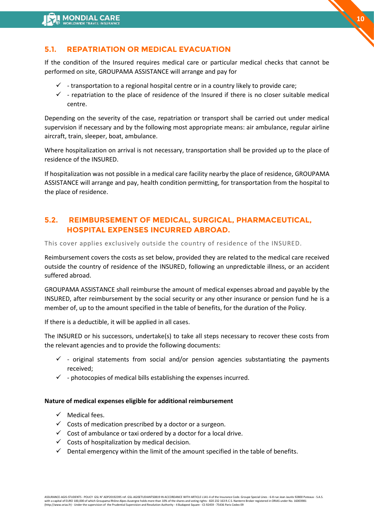# **5.1. REPATRIATION OR MEDICAL EVACUATION**

If the condition of the Insured requires medical care or particular medical checks that cannot be performed on site, GROUPAMA ASSISTANCE will arrange and pay for

- $\checkmark$  transportation to a regional hospital centre or in a country likely to provide care;
- $\checkmark$  repatriation to the place of residence of the Insured if there is no closer suitable medical centre.

Depending on the severity of the case, repatriation or transport shall be carried out under medical supervision if necessary and by the following most appropriate means: air ambulance, regular airline aircraft, train, sleeper, boat, ambulance.

Where hospitalization on arrival is not necessary, transportation shall be provided up to the place of residence of the INSURED.

If hospitalization was not possible in a medical care facility nearby the place of residence, GROUPAMA ASSISTANCE will arrange and pay, health condition permitting, for transportation from the hospital to the place of residence.

# **5.2. REIMBURSEMENT OF MEDICAL, SURGICAL, PHARMACEUTICAL, HOSPITAL EXPENSES INCURRED ABROAD.**

This cover applies exclusively outside the country of residence of the INSURED.

Reimbursement covers the costs as set below, provided they are related to the medical care received outside the country of residence of the INSURED, following an unpredictable illness, or an accident suffered abroad.

GROUPAMA ASSISTANCE shall reimburse the amount of medical expenses abroad and payable by the INSURED, after reimbursement by the social security or any other insurance or pension fund he is a member of, up to the amount specified in the table of benefits, for the duration of the Policy.

If there is a deductible, it will be applied in all cases.

The INSURED or his successors, undertake(s) to take all steps necessary to recover these costs from the relevant agencies and to provide the following documents:

- $\checkmark$  original statements from social and/or pension agencies substantiating the payments received;
- $\checkmark$  photocopies of medical bills establishing the expenses incurred.

#### **Nature of medical expenses eligible for additional reimbursement**

- $\checkmark$  Medical fees.
- $\checkmark$  Costs of medication prescribed by a doctor or a surgeon.
- $\checkmark$  Cost of ambulance or taxi ordered by a doctor for a local drive.
- $\checkmark$  Costs of hospitalization by medical decision.
- $\checkmark$  Dental emergency within the limit of the amount specified in the table of benefits.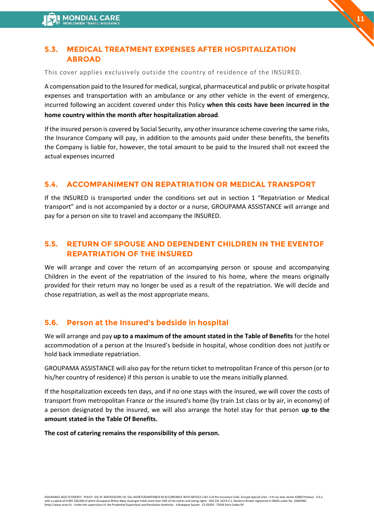# **5.3. MEDICAL TREATMENT EXPENSES AFTER HOSPITALIZATION ABROAD**

This cover applies exclusively outside the country of residence of the INSURED.

A compensation paid to the Insured for medical, surgical, pharmaceutical and public or private hospital expenses and transportation with an ambulance or any other vehicle in the event of emergency, incurred following an accident covered under this Policy **when this costs have been incurred in the**  **11**

### **home country within the month after hospitalization abroad**.

If the insured person is covered by Social Security, any other insurance scheme covering the same risks, the Insurance Company will pay, in addition to the amounts paid under these benefits, the benefits the Company is liable for, however, the total amount to be paid to the Insured shall not exceed the actual expenses incurred

# **5.4. ACCOMPANIMENT ON REPATRIATION OR MEDICAL TRANSPORT**

If the INSURED is transported under the conditions set out in section 1 "Repatriation or Medical transport" and is not accompanied by a doctor or a nurse, GROUPAMA ASSISTANCE will arrange and pay for a person on site to travel and accompany the INSURED.

# **5.5. RETURN OF SPOUSE AND DEPENDENT CHILDREN IN THE EVENTOF REPATRIATION OF THE INSURED**

We will arrange and cover the return of an accompanying person or spouse and accompanying Children in the event of the repatriation of the insured to his home, where the means originally provided for their return may no longer be used as a result of the repatriation. We will decide and chose repatriation, as well as the most appropriate means.

# **5.6. Person at the Insured's bedside in hospital**

We will arrange and pay **up to a maximum of the amount stated in the Table of Benefits** for the hotel accommodation of a person at the Insured's bedside in hospital, whose condition does not justify or hold back immediate repatriation.

GROUPAMA ASSISTANCE will also pay for the return ticket to metropolitan France of this person (or to his/her country of residence) if this person is unable to use the means initially planned.

If the hospitalization exceeds ten days, and if no one stays with the insured, we will cover the costs of transport from metropolitan France or the insured's home (by train 1st class or by air, in economy) of a person designated by the insured, we will also arrange the hotel stay for that person **up to the amount stated in the Table Of Benefits.**

# **The cost of catering remains the responsibility of this person.**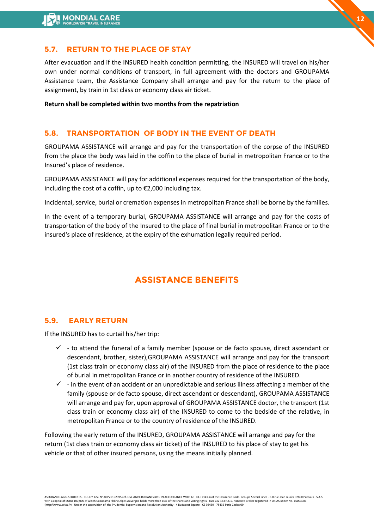# **5.7. RETURN TO THE PLACE OF STAY**

After evacuation and if the INSURED health condition permitting, the INSURED will travel on his/her own under normal conditions of transport, in full agreement with the doctors and GROUPAMA Assistance team, the Assistance Company shall arrange and pay for the return to the place of assignment, by train in 1st class or economy class air ticket.

**Return shall be completed within two months from the repatriation**

# **5.8. TRANSPORTATION OF BODY IN THE EVENT OF DEATH**

GROUPAMA ASSISTANCE will arrange and pay for the transportation of the corpse of the INSURED from the place the body was laid in the coffin to the place of burial in metropolitan France or to the Insured's place of residence.

GROUPAMA ASSISTANCE will pay for additional expenses required for the transportation of the body, including the cost of a coffin, up to €2,000 including tax.

Incidental, service, burial or cremation expenses in metropolitan France shall be borne by the families.

In the event of a temporary burial, GROUPAMA ASSISTANCE will arrange and pay for the costs of transportation of the body of the Insured to the place of final burial in metropolitan France or to the insured's place of residence, at the expiry of the exhumation legally required period.

# **ASSISTANCE BENEFITS**

# **5.9. EARLY RETURN**

If the INSURED has to curtail his/her trip:

- $\checkmark$  to attend the funeral of a family member (spouse or de facto spouse, direct ascendant or descendant, brother, sister),GROUPAMA ASSISTANCE will arrange and pay for the transport (1st class train or economy class air) of the INSURED from the place of residence to the place of burial in metropolitan France or in another country of residence of the INSURED.
- $\checkmark$  in the event of an accident or an unpredictable and serious illness affecting a member of the family (spouse or de facto spouse, direct ascendant or descendant), GROUPAMA ASSISTANCE will arrange and pay for, upon approval of GROUPAMA ASSISTANCE doctor, the transport (1st class train or economy class air) of the INSURED to come to the bedside of the relative, in metropolitan France or to the country of residence of the INSURED.

Following the early return of the INSURED, GROUPAMA ASSISTANCE will arrange and pay for the return (1st class train or economy class air ticket) of the INSURED to his place of stay to get his vehicle or that of other insured persons, using the means initially planned.

ASSURANCE-AGIS-STUDENTS - POLICY GSL N° ADP20192395 ref. GSL-AGISETUDIANTS0819 IN ACCORDANCE WITH ARTICLE L141-4 of the Insurance Code. Groupe Special Lines - 6-8 rue Jean Jaurès 92800 Puteaux - S.A.S.<br>with a capital of EU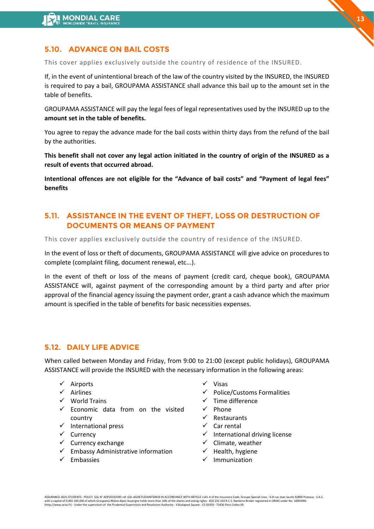# **5.10. ADVANCE ON BAIL COSTS**

This cover applies exclusively outside the country of residence of the INSURED.

If, in the event of unintentional breach of the law of the country visited by the INSURED, the INSURED is required to pay a bail, GROUPAMA ASSISTANCE shall advance this bail up to the amount set in the table of benefits.

GROUPAMA ASSISTANCE will pay the legal fees of legal representatives used by the INSURED up to the **amount set in the table of benefits.** 

You agree to repay the advance made for the bail costs within thirty days from the refund of the bail by the authorities.

**This benefit shall not cover any legal action initiated in the country of origin of the INSURED as a result of events that occurred abroad.** 

**Intentional offences are not eligible for the "Advance of bail costs" and "Payment of legal fees" benefits** 

# **5.11. ASSISTANCE IN THE EVENT OF THEFT, LOSS OR DESTRUCTION OF DOCUMENTS OR MEANS OF PAYMENT**

This cover applies exclusively outside the country of residence of the INSURED.

In the event of loss or theft of documents, GROUPAMA ASSISTANCE will give advice on procedures to complete (complaint filing, document renewal, etc...).

In the event of theft or loss of the means of payment (credit card, cheque book), GROUPAMA ASSISTANCE will, against payment of the corresponding amount by a third party and after prior approval of the financial agency issuing the payment order, grant a cash advance which the maximum amount is specified in the table of benefits for basic necessities expenses.

#### **5.12. DAILY LIFE ADVICE**

When called between Monday and Friday, from 9:00 to 21:00 (except public holidays), GROUPAMA ASSISTANCE will provide the INSURED with the necessary information in the following areas:

- ✓ Airports
- ✓ Airlines
- ✓ World Trains
- $\checkmark$  Economic data from on the visited country
- ✓ International press
- ✓ Currency
- $\checkmark$  Currency exchange
- $\checkmark$  Embassy Administrative information
- ✓ Embassies
- ✓ Visas
- $\checkmark$  Police/Customs Formalities
- $\checkmark$  Time difference
- ✓ Phone
- $\checkmark$  Restaurants
- ✓ Car rental
- $\checkmark$  International driving license
- $\checkmark$  Climate, weather
- ✓ Health, hygiene
- ✓ Immunization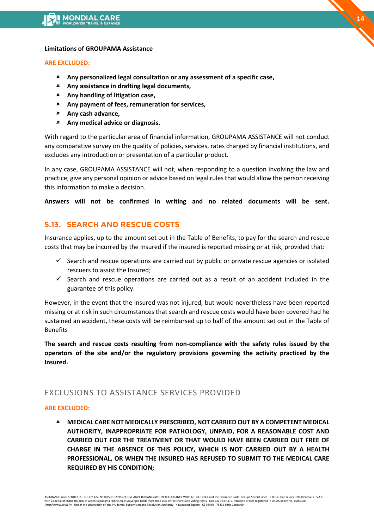#### **Limitations of GROUPAMA Assistance**

#### **ARE EXCLUDED:**

- **Any personalized legal consultation or any assessment of a specific case,**
- **Any assistance in drafting legal documents,**
- **Any handling of litigation case,**
- **Any payment of fees, remuneration for services,**
- **Any cash advance,**
- **Any medical advice or diagnosis.**

With regard to the particular area of financial information, GROUPAMA ASSISTANCE will not conduct any comparative survey on the quality of policies, services, rates charged by financial institutions, and excludes any introduction or presentation of a particular product.

In any case, GROUPAMA ASSISTANCE will not, when responding to a question involving the law and practice, give any personal opinion or advice based on legal rules that would allow the person receiving this information to make a decision.

**Answers will not be confirmed in writing and no related documents will be sent.**

# **5.13. SEARCH AND RESCUE COSTS**

Insurance applies, up to the amount set out in the Table of Benefits, to pay for the search and rescue costs that may be incurred by the Insured if the insured is reported missing or at risk, provided that:

- $\checkmark$  Search and rescue operations are carried out by public or private rescue agencies or isolated rescuers to assist the Insured;
- $\checkmark$  Search and rescue operations are carried out as a result of an accident included in the guarantee of this policy.

However, in the event that the Insured was not injured, but would nevertheless have been reported missing or at risk in such circumstances that search and rescue costs would have been covered had he sustained an accident, these costs will be reimbursed up to half of the amount set out in the Table of Benefits

**The search and rescue costs resulting from non-compliance with the safety rules issued by the operators of the site and/or the regulatory provisions governing the activity practiced by the Insured.** 

# EXCLUSIONS TO ASSISTANCE SERVICES PROVIDED

### **ARE EXCLUDED:**

 **MEDICAL CARE NOT MEDICALLY PRESCRIBED, NOT CARRIED OUT BY A COMPETENT MEDICAL AUTHORITY, INAPPROPRIATE FOR PATHOLOGY, UNPAID, FOR A REASONABLE COST AND CARRIED OUT FOR THE TREATMENT OR THAT WOULD HAVE BEEN CARRIED OUT FREE OF CHARGE IN THE ABSENCE OF THIS POLICY, WHICH IS NOT CARRIED OUT BY A HEALTH PROFESSIONAL, OR WHEN THE INSURED HAS REFUSED TO SUBMIT TO THE MEDICAL CARE REQUIRED BY HIS CONDITION;** 

ASSURANCE-AGIS-STUDENTS - POLICY GSL N° ADP20192395 ref. GSL-AGISETUDIANTS0819 IN ACCORDANCE WITH ARTICLE L141-4 of the Insurance Code. Groupe Special Lines - 6-8 rue Jean Jaurès 92800 Puteaux - S.A.S.<br>with a capital of EU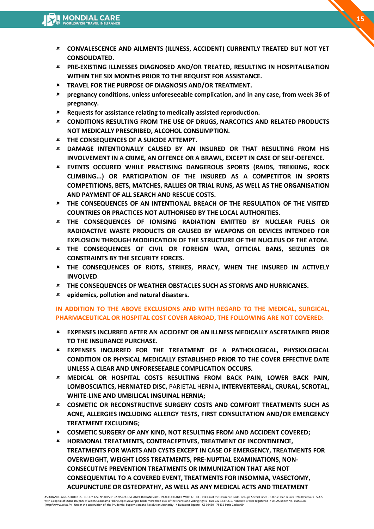**CONVALESCENCE AND AILMENTS (ILLNESS, ACCIDENT) CURRENTLY TREATED BUT NOT YET CONSOLIDATED.** 

**15**

- **PRE-EXISTING ILLNESSES DIAGNOSED AND/OR TREATED, RESULTING IN HOSPITALISATION WITHIN THE SIX MONTHS PRIOR TO THE REQUEST FOR ASSISTANCE.**
- **TRAVEL FOR THE PURPOSE OF DIAGNOSIS AND/OR TREATMENT.**
- **pregnancy conditions, unless unforeseeable complication, and in any case, from week 36 of pregnancy.**
- **Requests for assistance relating to medically assisted reproduction.**
- **CONDITIONS RESULTING FROM THE USE OF DRUGS, NARCOTICS AND RELATED PRODUCTS NOT MEDICALLY PRESCRIBED, ALCOHOL CONSUMPTION.**
- **THE CONSEQUENCES OF A SUICIDE ATTEMPT.**
- **DAMAGE INTENTIONALLY CAUSED BY AN INSURED OR THAT RESULTING FROM HIS INVOLVEMENT IN A CRIME, AN OFFENCE OR A BRAWL, EXCEPT IN CASE OF SELF-DEFENCE.**
- **EVENTS OCCURED WHILE PRACTISING DANGEROUS SPORTS (RAIDS, TREKKING, ROCK CLIMBING...) OR PARTICIPATION OF THE INSURED AS A COMPETITOR IN SPORTS COMPETITIONS, BETS, MATCHES, RALLIES OR TRIAL RUNS, AS WELL AS THE ORGANISATION AND PAYMENT OF ALL SEARCH AND RESCUE COSTS.**
- **THE CONSEQUENCES OF AN INTENTIONAL BREACH OF THE REGULATION OF THE VISITED COUNTRIES OR PRACTICES NOT AUTHORISED BY THE LOCAL AUTHORITIES.**
- **THE CONSEQUENCES OF IONISING RADIATION EMITTED BY NUCLEAR FUELS OR RADIOACTIVE WASTE PRODUCTS OR CAUSED BY WEAPONS OR DEVICES INTENDED FOR EXPLOSION THROUGH MODIFICATION OF THE STRUCTURE OF THE NUCLEUS OF THE ATOM.**
- **THE CONSEQUENCES OF CIVIL OR FOREIGN WAR, OFFICIAL BANS, SEIZURES OR CONSTRAINTS BY THE SECURITY FORCES.**
- **THE CONSEQUENCES OF RIOTS, STRIKES, PIRACY, WHEN THE INSURED IN ACTIVELY INVOLVED**.
- **THE CONSEQUENCES OF WEATHER OBSTACLES SUCH AS STORMS AND HURRICANES.**
- **epidemics, pollution and natural disasters.**

### **IN ADDITION TO THE ABOVE EXCLUSIONS AND WITH REGARD TO THE MEDICAL, SURGICAL, PHARMACEUTICAL OR HOSPITAL COST COVER ABROAD, THE FOLLOWING ARE NOT COVERED:**

- **EXPENSES INCURRED AFTER AN ACCIDENT OR AN ILLNESS MEDICALLY ASCERTAINED PRIOR TO THE INSURANCE PURCHASE.**
- **EXPENSES INCURRED FOR THE TREATMENT OF A PATHOLOGICAL, PHYSIOLOGICAL CONDITION OR PHYSICAL MEDICALLY ESTABLISHED PRIOR TO THE COVER EFFECTIVE DATE UNLESS A CLEAR AND UNFORESEEABLE COMPLICATION OCCURS.**
- **MEDICAL OR HOSPITAL COSTS RESULTING FROM BACK PAIN, LOWER BACK PAIN, LOMBOSCIATICS, HERNIATED DISC,** PARIETAL HERNIA**, INTERVERTEBRAL, CRURAL, SCROTAL, WHITE-LINE AND UMBILICAL INGUINAL HERNIA;**
- **COSMETIC OR RECONSTRUCTIVE SURGERY COSTS AND COMFORT TREATMENTS SUCH AS ACNE, ALLERGIES INCLUDING ALLERGY TESTS, FIRST CONSULTATION AND/OR EMERGENCY TREATMENT EXCLUDING;**
- **COSMETIC SURGERY OF ANY KIND, NOT RESULTING FROM AND ACCIDENT COVERED;**
- **HORMONAL TREATMENTS, CONTRACEPTIVES, TREATMENT OF INCONTINENCE, TREATMENTS FOR WARTS AND CYSTS EXCEPT IN CASE OF EMERGENCY, TREATMENTS FOR OVERWEIGHT, WEIGHT LOSS TREATMENTS, PRE-NUPTIAL EXAMINATIONS, NON-CONSECUTIVE PREVENTION TREATMENTS OR IMMUNIZATION THAT ARE NOT CONSEQUENTIAL TO A COVERED EVENT, TREATMENTS FOR INSOMNIA, VASECTOMY, ACUPUNCTURE OR OSTEOPATHY, AS WELL AS ANY MEDICAL ACTS AND TREATMENT**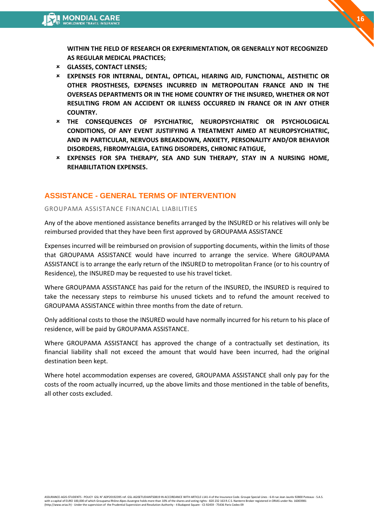**WITHIN THE FIELD OF RESEARCH OR EXPERIMENTATION, OR GENERALLY NOT RECOGNIZED AS REGULAR MEDICAL PRACTICES;** 

- **GLASSES, CONTACT LENSES;**
- **EXPENSES FOR INTERNAL, DENTAL, OPTICAL, HEARING AID, FUNCTIONAL, AESTHETIC OR OTHER PROSTHESES, EXPENSES INCURRED IN METROPOLITAN FRANCE AND IN THE OVERSEAS DEPARTMENTS OR IN THE HOME COUNTRY OF THE INSURED, WHETHER OR NOT RESULTING FROM AN ACCIDENT OR ILLNESS OCCURRED IN FRANCE OR IN ANY OTHER COUNTRY.**
- **THE CONSEQUENCES OF PSYCHIATRIC, NEUROPSYCHIATRIC OR PSYCHOLOGICAL CONDITIONS, OF ANY EVENT JUSTIFYING A TREATMENT AIMED AT NEUROPSYCHIATRIC, AND IN PARTICULAR, NERVOUS BREAKDOWN, ANXIETY, PERSONALITY AND/OR BEHAVIOR DISORDERS, FIBROMYALGIA, EATING DISORDERS, CHRONIC FATIGUE,**
- **EXPENSES FOR SPA THERAPY, SEA AND SUN THERAPY, STAY IN A NURSING HOME, REHABILITATION EXPENSES.**

### **ASSISTANCE - GENERAL TERMS OF INTERVENTION**

#### GROUPAMA ASSISTANCE FINANCIAL LIABILITIES

Any of the above mentioned assistance benefits arranged by the INSURED or his relatives will only be reimbursed provided that they have been first approved by GROUPAMA ASSISTANCE

Expenses incurred will be reimbursed on provision of supporting documents, within the limits of those that GROUPAMA ASSISTANCE would have incurred to arrange the service. Where GROUPAMA ASSISTANCE is to arrange the early return of the INSURED to metropolitan France (or to his country of Residence), the INSURED may be requested to use his travel ticket.

Where GROUPAMA ASSISTANCE has paid for the return of the INSURED, the INSURED is required to take the necessary steps to reimburse his unused tickets and to refund the amount received to GROUPAMA ASSISTANCE within three months from the date of return.

Only additional costs to those the INSURED would have normally incurred for his return to his place of residence, will be paid by GROUPAMA ASSISTANCE.

Where GROUPAMA ASSISTANCE has approved the change of a contractually set destination, its financial liability shall not exceed the amount that would have been incurred, had the original destination been kept.

Where hotel accommodation expenses are covered, GROUPAMA ASSISTANCE shall only pay for the costs of the room actually incurred, up the above limits and those mentioned in the table of benefits, all other costs excluded.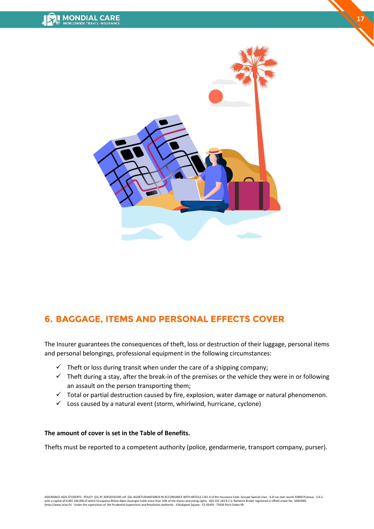

**17**

# <span id="page-16-0"></span>**6. BAGGAGE, ITEMS AND PERSONAL EFFECTS COVER**

The Insurer guarantees the consequences of theft, loss or destruction of their luggage, personal items and personal belongings, professional equipment in the following circumstances:

- $\checkmark$  Theft or loss during transit when under the care of a shipping company;
- $\checkmark$  Theft during a stay, after the break-in of the premises or the vehicle they were in or following an assault on the person transporting them;
- ✓ Total or partial destruction caused by fire, explosion, water damage or natural phenomenon.
- $\checkmark$  Loss caused by a natural event (storm, whirlwind, hurricane, cyclone)

#### **The amount of cover is set in the Table of Benefits.**

Thefts must be reported to a competent authority (police, gendarmerie, transport company, purser).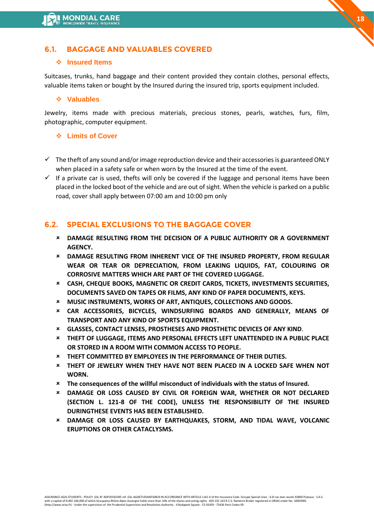# **6.1. BAGGAGE AND VALUABLES COVERED**

#### ❖ **Insured Items**

Suitcases, trunks, hand baggage and their content provided they contain clothes, personal effects, valuable items taken or bought by the Insured during the insured trip, sports equipment included.

#### ❖ **Valuables**

Jewelry, items made with precious materials, precious stones, pearls, watches, furs, film, photographic, computer equipment.

#### ❖ **Limits of Cover**

- $\checkmark$  The theft of any sound and/or image reproduction device and their accessories is guaranteed ONLY when placed in a safety safe or when worn by the Insured at the time of the event.
- $\checkmark$  If a private car is used, thefts will only be covered if the luggage and personal items have been placed in the locked boot of the vehicle and are out of sight. When the vehicle is parked on a public road, cover shall apply between 07:00 am and 10:00 pm only

# **6.2. SPECIAL EXCLUSIONS TO THE BAGGAGE COVER**

- **DAMAGE RESULTING FROM THE DECISION OF A PUBLIC AUTHORITY OR A GOVERNMENT AGENCY.**
- **DAMAGE RESULTING FROM INHERENT VICE OF THE INSURED PROPERTY, FROM REGULAR WEAR OR TEAR OR DEPRECIATION, FROM LEAKING LIQUIDS, FAT, COLOURING OR CORROSIVE MATTERS WHICH ARE PART OF THE COVERED LUGGAGE.**
- **CASH, CHEQUE BOOKS, MAGNETIC OR CREDIT CARDS, TICKETS, INVESTMENTS SECURITIES, DOCUMENTS SAVED ON TAPES OR FILMS, ANY KIND OF PAPER DOCUMENTS, KEYS.**
- **MUSIC INSTRUMENTS, WORKS OF ART, ANTIQUES, COLLECTIONS AND GOODS.**
- **CAR ACCESSORIES, BICYCLES, WINDSURFING BOARDS AND GENERALLY, MEANS OF TRANSPORT AND ANY KIND OF SPORTS EQUIPMENT.**
- **GLASSES, CONTACT LENSES, PROSTHESES AND PROSTHETIC DEVICES OF ANY KIND**.
- **THEFT OF LUGGAGE, ITEMS AND PERSONAL EFFECTS LEFT UNATTENDED IN A PUBLIC PLACE OR STORED IN A ROOM WITH COMMON ACCESS TO PEOPLE.**
- **THEFT COMMITTED BY EMPLOYEES IN THE PERFORMANCE OF THEIR DUTIES.**
- **THEFT OF JEWELRY WHEN THEY HAVE NOT BEEN PLACED IN A LOCKED SAFE WHEN NOT WORN.**
- **The consequences of the willful misconduct of individuals with the status of Insured.**
- **DAMAGE OR LOSS CAUSED BY CIVIL OR FOREIGN WAR, WHETHER OR NOT DECLARED (SECTION L. 121-8 OF THE CODE), UNLESS THE RESPONSIBILITY OF THE INSURED DURINGTHESE EVENTS HAS BEEN ESTABLISHED.**
- **DAMAGE OR LOSS CAUSED BY EARTHQUAKES, STORM, AND TIDAL WAVE, VOLCANIC ERUPTIONS OR OTHER CATACLYSMS.**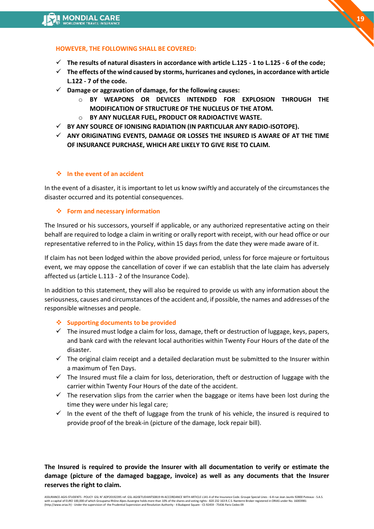

#### **HOWEVER, THE FOLLOWING SHALL BE COVERED:**

- ✓ **The results of natural disasters in accordance with article L.125 - 1 to L.125 - 6 of the code;**
- ✓ **The effects of the wind caused by storms, hurricanes and cyclones, in accordance with article L.122 - 7 of the code.**
- ✓ **Damage or aggravation of damage, for the following causes:** 
	- o **BY WEAPONS OR DEVICES INTENDED FOR EXPLOSION THROUGH THE MODIFICATION OF STRUCTURE OF THE NUCLEUS OF THE ATOM.**
	- o **BY ANY NUCLEAR FUEL, PRODUCT OR RADIOACTIVE WASTE.**
- ✓ **BY ANY SOURCE OF IONISING RADIATION (IN PARTICULAR ANY RADIO-ISOTOPE).**
- ✓ **ANY ORIGINATING EVENTS, DAMAGE OR LOSSES THE INSURED IS AWARE OF AT THE TIME OF INSURANCE PURCHASE, WHICH ARE LIKELY TO GIVE RISE TO CLAIM.**

#### ❖ **In the event of an accident**

In the event of a disaster, it is important to let us know swiftly and accurately of the circumstances the disaster occurred and its potential consequences.

#### ❖ **Form and necessary information**

The Insured or his successors, yourself if applicable, or any authorized representative acting on their behalf are required to lodge a claim in writing or orally report with receipt, with our head office or our representative referred to in the Policy, within 15 days from the date they were made aware of it.

If claim has not been lodged within the above provided period, unless for force majeure or fortuitous event, we may oppose the cancellation of cover if we can establish that the late claim has adversely affected us (article L.113 - 2 of the Insurance Code).

In addition to this statement, they will also be required to provide us with any information about the seriousness, causes and circumstances of the accident and, if possible, the names and addresses of the responsible witnesses and people.

#### ❖ **Supporting documents to be provided**

- $\checkmark$  The insured must lodge a claim for loss, damage, theft or destruction of luggage, keys, papers, and bank card with the relevant local authorities within Twenty Four Hours of the date of the disaster.
- $\checkmark$  The original claim receipt and a detailed declaration must be submitted to the Insurer within a maximum of Ten Days.
- ✓ The Insured must file a claim for loss, deterioration, theft or destruction of luggage with the carrier within Twenty Four Hours of the date of the accident.
- $\checkmark$  The reservation slips from the carrier when the baggage or items have been lost during the time they were under his legal care;
- $\checkmark$  In the event of the theft of luggage from the trunk of his vehicle, the insured is required to provide proof of the break-in (picture of the damage, lock repair bill).

**The Insured is required to provide the Insurer with all documentation to verify or estimate the damage (picture of the damaged baggage, invoice) as well as any documents that the Insurer reserves the right to claim.**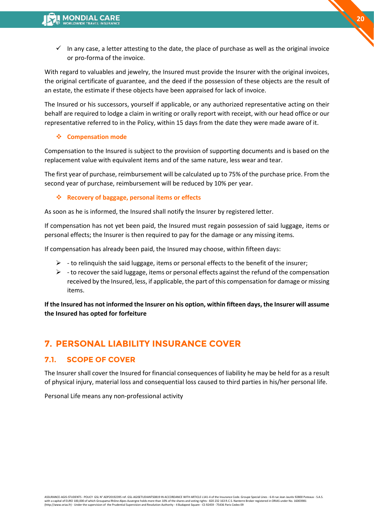$\checkmark$  In any case, a letter attesting to the date, the place of purchase as well as the original invoice or pro-forma of the invoice.

With regard to valuables and jewelry, the Insured must provide the Insurer with the original invoices, the original certificate of guarantee, and the deed if the possession of these objects are the result of an estate, the estimate if these objects have been appraised for lack of invoice.

The Insured or his successors, yourself if applicable, or any authorized representative acting on their behalf are required to lodge a claim in writing or orally report with receipt, with our head office or our representative referred to in the Policy, within 15 days from the date they were made aware of it.

#### ❖ **Compensation mode**

Compensation to the Insured is subject to the provision of supporting documents and is based on the replacement value with equivalent items and of the same nature, less wear and tear.

The first year of purchase, reimbursement will be calculated up to 75% of the purchase price. From the second year of purchase, reimbursement will be reduced by 10% per year.

### ❖ **Recovery of baggage, personal items or effects**

As soon as he is informed, the Insured shall notify the Insurer by registered letter.

If compensation has not yet been paid, the Insured must regain possession of said luggage, items or personal effects; the Insurer is then required to pay for the damage or any missing items.

If compensation has already been paid, the Insured may choose, within fifteen days:

- $\triangleright$  to relinquish the said luggage, items or personal effects to the benefit of the insurer;
- $\triangleright$  to recover the said luggage, items or personal effects against the refund of the compensation received by the Insured, less, if applicable, the part of this compensation for damage or missing items.

**If the Insured has not informed the Insurer on his option, within fifteen days, the Insurer will assume the Insured has opted for forfeiture**

# <span id="page-19-0"></span>**7. PERSONAL LIABILITY INSURANCE COVER**

# **7.1. SCOPE OF COVER**

The Insurer shall cover the Insured for financial consequences of liability he may be held for as a result of physical injury, material loss and consequential loss caused to third parties in his/her personal life.

Personal Life means any non-professional activity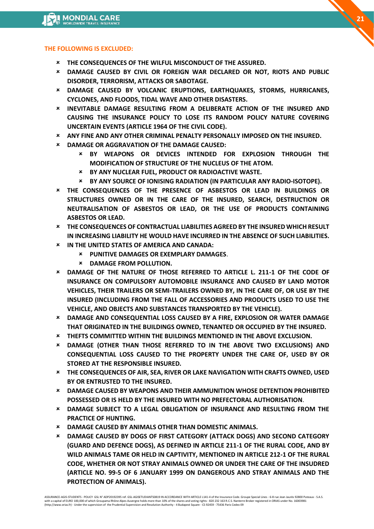#### **THE FOLLOWING IS EXCLUDED:**

- **THE CONSEQUENCES OF THE WILFUL MISCONDUCT OF THE ASSURED.**
- **DAMAGE CAUSED BY CIVIL OR FOREIGN WAR DECLARED OR NOT, RIOTS AND PUBLIC DISORDER, TERRORISM, ATTACKS OR SABOTAGE.**
- **DAMAGE CAUSED BY VOLCANIC ERUPTIONS, EARTHQUAKES, STORMS, HURRICANES, CYCLONES, AND FLOODS, TIDAL WAVE AND OTHER DISASTERS.**
- **INEVITABLE DAMAGE RESULTING FROM A DELIBERATE ACTION OF THE INSURED AND CAUSING THE INSURANCE POLICY TO LOSE ITS RANDOM POLICY NATURE COVERING UNCERTAIN EVENTS (ARTICLE 1964 OF THE CIVIL CODE).**
- **ANY FINE AND ANY OTHER CRIMINAL PENALTY PERSONALLY IMPOSED ON THE INSURED.**
- **DAMAGE OR AGGRAVATION OF THE DAMAGE CAUSED:**
	- **BY WEAPONS OR DEVICES INTENDED FOR EXPLOSION THROUGH THE MODIFICATION OF STRUCTURE OF THE NUCLEUS OF THE ATOM.**
	- **BY ANY NUCLEAR FUEL, PRODUCT OR RADIOACTIVE WASTE.**
	- **BY ANY SOURCE OF IONISING RADIATION (IN PARTICULAR ANY RADIO-ISOTOPE).**
- **THE CONSEQUENCES OF THE PRESENCE OF ASBESTOS OR LEAD IN BUILDINGS OR STRUCTURES OWNED OR IN THE CARE OF THE INSURED, SEARCH, DESTRUCTION OR NEUTRALISATION OF ASBESTOS OR LEAD, OR THE USE OF PRODUCTS CONTAINING ASBESTOS OR LEAD.**
- **THE CONSEQUENCES OF CONTRACTUAL LIABILITIES AGREED BY THE INSURED WHICH RESULT IN INCREASING LIABILITY HE WOULD HAVE INCURRED IN THE ABSENCE OF SUCH LIABILITIES.**
- **IN THE UNITED STATES OF AMERICA AND CANADA:** 
	- **PUNITIVE DAMAGES OR EXEMPLARY DAMAGES**.
	- **DAMAGE FROM POLLUTION.**
- **DAMAGE OF THE NATURE OF THOSE REFERRED TO ARTICLE L. 211-1 OF THE CODE OF INSURANCE ON COMPULSORY AUTOMOBILE INSURANCE AND CAUSED BY LAND MOTOR VEHICLES, THEIR TRAILERS OR SEMI-TRAILERS OWNED BY, IN THE CARE OF, OR USE BY THE INSURED (INCLUDING FROM THE FALL OF ACCESSORIES AND PRODUCTS USED TO USE THE VEHICLE, AND OBJECTS AND SUBSTANCES TRANSPORTED BY THE VEHICLE).**
- **DAMAGE AND CONSEQUENTIAL LOSS CAUSED BY A FIRE, EXPLOSION OR WATER DAMAGE THAT ORIGINATED IN THE BUILDINGS OWNED, TENANTED OR OCCUPIED BY THE INSURED.**
- **THEFTS COMMITTED WITHIN THE BUILDINGS MENTIONED IN THE ABOVE EXCLUSION.**
- **DAMAGE (OTHER THAN THOSE REFERRED TO IN THE ABOVE TWO EXCLUSIONS) AND CONSEQUENTIAL LOSS CAUSED TO THE PROPERTY UNDER THE CARE OF, USED BY OR STORED AT THE RESPONSIBLE INSURED.**
- **THE CONSEQUENCES OF AIR, SEA, RIVER OR LAKE NAVIGATION WITH CRAFTS OWNED, USED BY OR ENTRUSTED TO THE INSURED.**
- **DAMAGE CAUSED BY WEAPONS AND THEIR AMMUNITION WHOSE DETENTION PROHIBITED POSSESSED OR IS HELD BY THE INSURED WITH NO PREFECTORAL AUTHORISATION**.
- **DAMAGE SUBJECT TO A LEGAL OBLIGATION OF INSURANCE AND RESULTING FROM THE PRACTICE OF HUNTING.**
- **DAMAGE CAUSED BY ANIMALS OTHER THAN DOMESTIC ANIMALS.**
- **DAMAGE CAUSED BY DOGS OF FIRST CATEGORY (ATTACK DOGS) AND SECOND CATEGORY (GUARD AND DEFENCE DOGS), AS DEFINED IN ARTICLE 211-1 OF THE RURAL CODE, AND BY WILD ANIMALS TAME OR HELD IN CAPTIVITY, MENTIONED IN ARTICLE 212-1 OF THE RURAL CODE, WHETHER OR NOT STRAY ANIMALS OWNED OR UNDER THE CARE OF THE INSUDRED (ARTICLE NO. 99-5 OF 6 JANUARY 1999 ON DANGEROUS AND STRAY ANIMALS AND THE PROTECTION OF ANIMALS).**

ASSURANCE-AGIS-STUDENTS - POLICY GSL N° ADP20192395 ref. GSL-AGISETUDIANTS0819 IN ACCORDANCE WITH ARTICLE L141-4 of the Insurance Code. Groupe Special Lines - 6-8 rue Jean Jaurès 92800 Puteaux - S.A.S.<br>with a capital of EU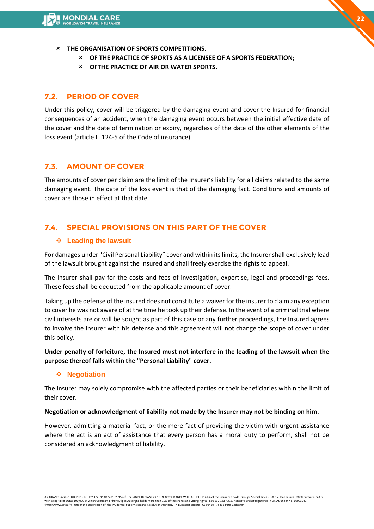- **THE ORGANISATION OF SPORTS COMPETITIONS.**
	- **OF THE PRACTICE OF SPORTS AS A LICENSEE OF A SPORTS FEDERATION;**
	- **OFTHE PRACTICE OF AIR OR WATER SPORTS.**

# **7.2. PERIOD OF COVER**

Under this policy, cover will be triggered by the damaging event and cover the Insured for financial consequences of an accident, when the damaging event occurs between the initial effective date of the cover and the date of termination or expiry, regardless of the date of the other elements of the loss event (article L. 124-5 of the Code of insurance).

# **7.3. AMOUNT OF COVER**

The amounts of cover per claim are the limit of the Insurer's liability for all claims related to the same damaging event. The date of the loss event is that of the damaging fact. Conditions and amounts of cover are those in effect at that date.

# **7.4. SPECIAL PROVISIONS ON THIS PART OF THE COVER**

### ❖ **Leading the lawsuit**

For damages under "Civil Personal Liability" cover and within its limits, the Insurer shall exclusively lead of the lawsuit brought against the Insured and shall freely exercise the rights to appeal.

The Insurer shall pay for the costs and fees of investigation, expertise, legal and proceedings fees. These fees shall be deducted from the applicable amount of cover.

Taking up the defense of the insured does not constitute a waiver for the insurer to claim any exception to cover he was not aware of at the time he took up their defense. In the event of a criminal trial where civil interests are or will be sought as part of this case or any further proceedings, the Insured agrees to involve the Insurer with his defense and this agreement will not change the scope of cover under this policy.

**Under penalty of forfeiture, the Insured must not interfere in the leading of the lawsuit when the purpose thereof falls within the "Personal Liability" cover.** 

### ❖ **Negotiation**

The insurer may solely compromise with the affected parties or their beneficiaries within the limit of their cover.

#### **Negotiation or acknowledgment of liability not made by the Insurer may not be binding on him.**

However, admitting a material fact, or the mere fact of providing the victim with urgent assistance where the act is an act of assistance that every person has a moral duty to perform, shall not be considered an acknowledgment of liability.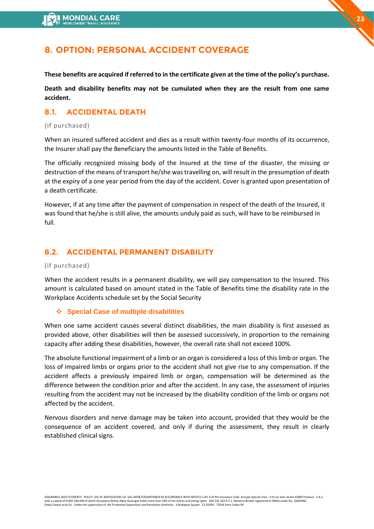# <span id="page-22-0"></span>**8. OPTION: PERSONAL ACCIDENT COVERAGE**

**These benefits are acquired if referred to in the certificate given at the time of the policy's purchase.** 

**Death and disability benefits may not be cumulated when they are the result from one same accident.**

# **8.1. ACCIDENTAL DEATH**

#### (if purchased)

When an insured suffered accident and dies as a result within twenty-four months of its occurrence, the Insurer shall pay the Beneficiary the amounts listed in the Table of Benefits.

The officially recognized missing body of the Insured at the time of the disaster, the missing or destruction of the means of transport he/she was travelling on, will result in the presumption of death at the expiry of a one year period from the day of the accident. Cover is granted upon presentation of a death certificate.

However, if at any time after the payment of compensation in respect of the death of the Insured, it was found that he/she is still alive, the amounts unduly paid as such, will have to be reimbursed in full.

# **8.2. ACCIDENTAL PERMANENT DISABILITY**

#### (if purchased)

When the accident results in a permanent disability, we will pay compensation to the Insured. This amount is calculated based on amount stated in the Table of Benefits time the disability rate in the Workplace Accidents schedule set by the Social Security

#### ❖ **Special Case of multiple disabilities**

When one same accident causes several distinct disabilities, the main disability is first assessed as provided above, other disabilities will then be assessed successively, in proportion to the remaining capacity after adding these disabilities, however, the overall rate shall not exceed 100%.

The absolute functional impairment of a limb or an organ is considered a loss of this limb or organ. The loss of impaired limbs or organs prior to the accident shall not give rise to any compensation. If the accident affects a previously impaired limb or organ, compensation will be determined as the difference between the condition prior and after the accident. In any case, the assessment of injuries resulting from the accident may not be increased by the disability condition of the limb or organs not affected by the accident.

Nervous disorders and nerve damage may be taken into account, provided that they would be the consequence of an accident covered, and only if during the assessment, they result in clearly established clinical signs.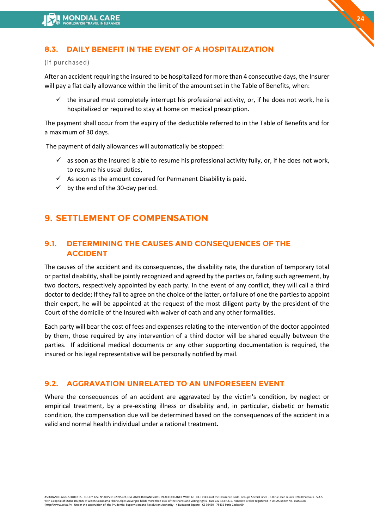# **8.3. DAILY BENEFIT IN THE EVENT OF A HOSPITALIZATION**

#### (if purchased)

After an accident requiring the insured to be hospitalized for more than 4 consecutive days, the Insurer will pay a flat daily allowance within the limit of the amount set in the Table of Benefits, when:

 $\checkmark$  the insured must completely interrupt his professional activity, or, if he does not work, he is hospitalized or required to stay at home on medical prescription.

**24**

The payment shall occur from the expiry of the deductible referred to in the Table of Benefits and for a maximum of 30 days.

The payment of daily allowances will automatically be stopped:

- $\checkmark$  as soon as the Insured is able to resume his professional activity fully, or, if he does not work, to resume his usual duties,
- $\checkmark$  As soon as the amount covered for Permanent Disability is paid.
- $\checkmark$  by the end of the 30-day period.

# <span id="page-23-0"></span>**9. SETTLEMENT OF COMPENSATION**

# **9.1. DETERMINING THE CAUSES AND CONSEQUENCES OF THE ACCIDENT**

The causes of the accident and its consequences, the disability rate, the duration of temporary total or partial disability, shall be jointly recognized and agreed by the parties or, failing such agreement, by two doctors, respectively appointed by each party. In the event of any conflict, they will call a third doctor to decide; If they fail to agree on the choice of the latter, or failure of one the parties to appoint their expert, he will be appointed at the request of the most diligent party by the president of the Court of the domicile of the Insured with waiver of oath and any other formalities.

Each party will bear the cost of fees and expenses relating to the intervention of the doctor appointed by them, those required by any intervention of a third doctor will be shared equally between the parties. If additional medical documents or any other supporting documentation is required, the insured or his legal representative will be personally notified by mail.

### **9.2. AGGRAVATION UNRELATED TO AN UNFORESEEN EVENT**

Where the consequences of an accident are aggravated by the victim's condition, by neglect or empirical treatment, by a pre-existing illness or disability and, in particular, diabetic or hematic condition, the compensation due will be determined based on the consequences of the accident in a valid and normal health individual under a rational treatment.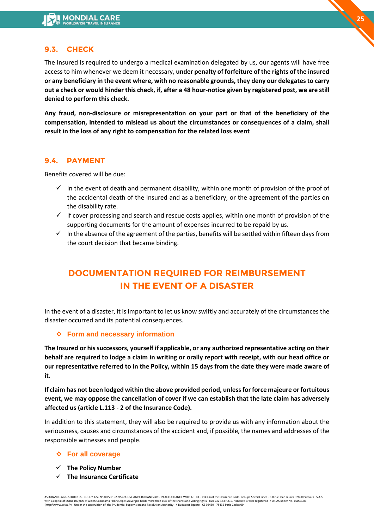# **9.3. CHECK**

The Insured is required to undergo a medical examination delegated by us, our agents will have free access to him whenever we deem it necessary, **under penalty of forfeiture of the rights of the insured or any beneficiary in the event where, with no reasonable grounds, they deny our delegates to carry out a check or would hinder this check, if, after a 48 hour-notice given by registered post, we are still denied to perform this check.** 

**Any fraud, non-disclosure or misrepresentation on your part or that of the beneficiary of the compensation, intended to mislead us about the circumstances or consequences of a claim, shall result in the loss of any right to compensation for the related loss event**

#### **9.4. PAYMENT**

Benefits covered will be due:

- $\checkmark$  In the event of death and permanent disability, within one month of provision of the proof of the accidental death of the Insured and as a beneficiary, or the agreement of the parties on the disability rate.
- $\checkmark$  If cover processing and search and rescue costs applies, within one month of provision of the supporting documents for the amount of expenses incurred to be repaid by us.
- $\checkmark$  In the absence of the agreement of the parties, benefits will be settled within fifteen days from the court decision that became binding.

# **DOCUMENTATION REQUIRED FOR REIMBURSEMENT IN THE EVENT OF A DISASTER**

In the event of a disaster, it is important to let us know swiftly and accurately of the circumstances the disaster occurred and its potential consequences.

### ❖ **Form and necessary information**

**The Insured or his successors, yourself if applicable, or any authorized representative acting on their behalf are required to lodge a claim in writing or orally report with receipt, with our head office or our representative referred to in the Policy, within 15 days from the date they were made aware of it.** 

**If claim has not been lodged within the above provided period, unless for force majeure or fortuitous event, we may oppose the cancellation of cover if we can establish that the late claim has adversely affected us (article L.113 - 2 of the Insurance Code).**

In addition to this statement, they will also be required to provide us with any information about the seriousness, causes and circumstances of the accident and, if possible, the names and addresses of the responsible witnesses and people.

#### ❖ **For all coverage**

- ✓ **The Policy Number**
- ✓ **The Insurance Certificate**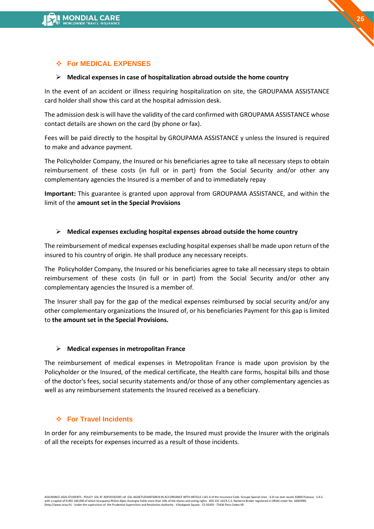

#### ➢ **Medical expenses in case of hospitalization abroad outside the home country**

In the event of an accident or illness requiring hospitalization on site, the GROUPAMA ASSISTANCE card holder shall show this card at the hospital admission desk.

The admission desk is will have the validity of the card confirmed with GROUPAMA ASSISTANCE whose contact details are shown on the card (by phone or fax).

Fees will be paid directly to the hospital by GROUPAMA ASSISTANCE y unless the Insured is required to make and advance payment.

The Policyholder Company, the Insured or his beneficiaries agree to take all necessary steps to obtain reimbursement of these costs (in full or in part) from the Social Security and/or other any complementary agencies the Insured is a member of and to immediately repay

**Important:** This guarantee is granted upon approval from GROUPAMA ASSISTANCE, and within the limit of the **amount set in the Special Provisions** 

#### ➢ **Medical expenses excluding hospital expenses abroad outside the home country**

The reimbursement of medical expenses excluding hospital expenses shall be made upon return of the insured to his country of origin. He shall produce any necessary receipts.

The Policyholder Company, the Insured or his beneficiaries agree to take all necessary steps to obtain reimbursement of these costs (in full or in part) from the Social Security and/or other any complementary agencies the Insured is a member of.

The Insurer shall pay for the gap of the medical expenses reimbursed by social security and/or any other complementary organizations the Insured of, or his beneficiaries Payment for this gap is limited to **the amount set in the Special Provisions.** 

#### ➢ **Medical expenses in metropolitan France**

The reimbursement of medical expenses in Metropolitan France is made upon provision by the Policyholder or the Insured, of the medical certificate, the Health care forms, hospital bills and those of the doctor's fees, social security statements and/or those of any other complementary agencies as well as any reimbursement statements the Insured received as a beneficiary.

#### ❖ **For Travel Incidents**

In order for any reimbursements to be made, the Insured must provide the Insurer with the originals of all the receipts for expenses incurred as a result of those incidents.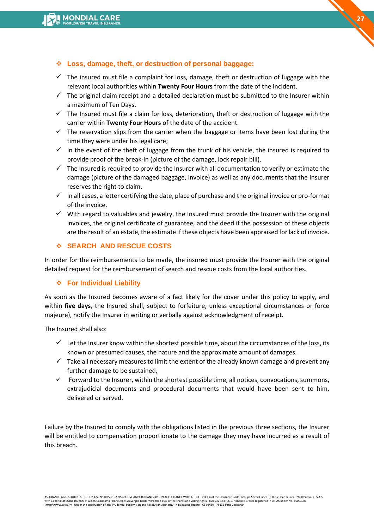

# ❖ **Loss, damage, theft, or destruction of personal baggage:**

- $\checkmark$  The insured must file a complaint for loss, damage, theft or destruction of luggage with the relevant local authorities within **Twenty Four Hours** from the date of the incident.
- $\checkmark$  The original claim receipt and a detailed declaration must be submitted to the Insurer within a maximum of Ten Days.
- $\checkmark$  The Insured must file a claim for loss, deterioration, theft or destruction of luggage with the carrier within **Twenty Four Hours** of the date of the accident.
- $\checkmark$  The reservation slips from the carrier when the baggage or items have been lost during the time they were under his legal care;
- $\checkmark$  In the event of the theft of luggage from the trunk of his vehicle, the insured is required to provide proof of the break-in (picture of the damage, lock repair bill).
- ✓ The Insured is required to provide the Insurer with all documentation to verify or estimate the damage (picture of the damaged baggage, invoice) as well as any documents that the Insurer reserves the right to claim.
- $\checkmark$  In all cases, a letter certifying the date, place of purchase and the original invoice or pro-format of the invoice.
- $\checkmark$  With regard to valuables and jewelry, the Insured must provide the Insurer with the original invoices, the original certificate of guarantee, and the deed if the possession of these objects are the result of an estate, the estimate if these objects have been appraised for lack of invoice.

### ❖ **SEARCH AND RESCUE COSTS**

In order for the reimbursements to be made, the insured must provide the Insurer with the original detailed request for the reimbursement of search and rescue costs from the local authorities.

#### ❖ **For Individual Liability**

As soon as the Insured becomes aware of a fact likely for the cover under this policy to apply, and within **five days**, the Insured shall, subject to forfeiture, unless exceptional circumstances or force majeure), notify the Insurer in writing or verbally against acknowledgment of receipt.

The Insured shall also:

- $\checkmark$  Let the Insurer know within the shortest possible time, about the circumstances of the loss, its known or presumed causes, the nature and the approximate amount of damages.
- $\checkmark$  Take all necessary measures to limit the extent of the already known damage and prevent any further damage to be sustained,
- $\checkmark$  Forward to the Insurer, within the shortest possible time, all notices, convocations, summons, extrajudicial documents and procedural documents that would have been sent to him, delivered or served.

Failure by the Insured to comply with the obligations listed in the previous three sections, the Insurer will be entitled to compensation proportionate to the damage they may have incurred as a result of this breach.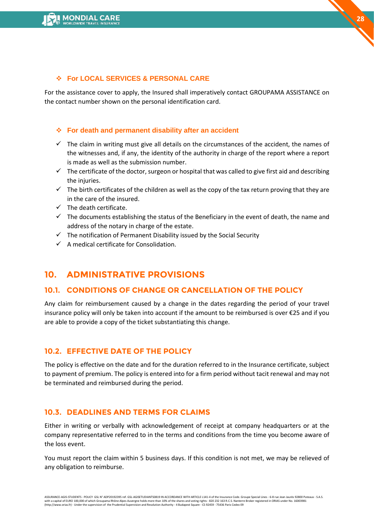#### ❖ **For LOCAL SERVICES & PERSONAL CARE**

For the assistance cover to apply, the Insured shall imperatively contact GROUPAMA ASSISTANCE on the contact number shown on the personal identification card.

#### ❖ **For death and permanent disability after an accident**

- $\checkmark$  The claim in writing must give all details on the circumstances of the accident, the names of the witnesses and, if any, the identity of the authority in charge of the report where a report is made as well as the submission number.
- $\checkmark$  The certificate of the doctor, surgeon or hospital that was called to give first aid and describing the injuries.
- $\checkmark$  The birth certificates of the children as well as the copy of the tax return proving that they are in the care of the insured.
- $\checkmark$  The death certificate.
- $\checkmark$  The documents establishing the status of the Beneficiary in the event of death, the name and address of the notary in charge of the estate.
- $\checkmark$  The notification of Permanent Disability issued by the Social Security
- ✓ A medical certificate for Consolidation.

# <span id="page-27-0"></span>**10. ADMINISTRATIVE PROVISIONS**

# **10.1. CONDITIONS OF CHANGE OR CANCELLATION OF THE POLICY**

Any claim for reimbursement caused by a change in the dates regarding the period of your travel insurance policy will only be taken into account if the amount to be reimbursed is over €25 and if you are able to provide a copy of the ticket substantiating this change.

# **10.2. EFFECTIVE DATE OF THE POLICY**

The policy is effective on the date and for the duration referred to in the Insurance certificate, subject to payment of premium. The policy is entered into for a firm period without tacit renewal and may not be terminated and reimbursed during the period.

### **10.3. DEADLINES AND TERMS FOR CLAIMS**

Either in writing or verbally with acknowledgement of receipt at company headquarters or at the company representative referred to in the terms and conditions from the time you become aware of the loss event.

You must report the claim within 5 business days. If this condition is not met, we may be relieved of any obligation to reimburse.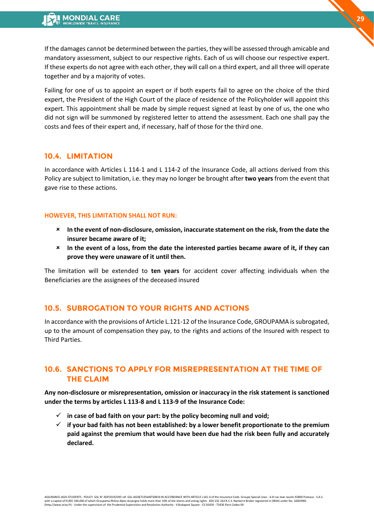If the damages cannot be determined between the parties, they will be assessed through amicable and mandatory assessment, subject to our respective rights. Each of us will choose our respective expert. If these experts do not agree with each other, they will call on a third expert, and all three will operate together and by a majority of votes.

Failing for one of us to appoint an expert or if both experts fail to agree on the choice of the third expert, the President of the High Court of the place of residence of the Policyholder will appoint this expert. This appointment shall be made by simple request signed at least by one of us, the one who did not sign will be summoned by registered letter to attend the assessment. Each one shall pay the costs and fees of their expert and, if necessary, half of those for the third one.

### **10.4. LIMITATION**

In accordance with Articles L 114-1 and L 114-2 of the Insurance Code, all actions derived from this Policy are subject to limitation, i.e. they may no longer be brought after **two years** from the event that gave rise to these actions.

#### **HOWEVER, THIS LIMITATION SHALL NOT RUN:**

- **In the event of non-disclosure, omission, inaccurate statement on the risk, from the date the insurer became aware of it;**
- **In the event of a loss, from the date the interested parties became aware of it, if they can prove they were unaware of it until then.**

The limitation will be extended to **ten years** for accident cover affecting individuals when the Beneficiaries are the assignees of the deceased insured

# **10.5. SUBROGATION TO YOUR RIGHTS AND ACTIONS**

In accordance with the provisions of Article L.121-12 of the Insurance Code, GROUPAMA is subrogated, up to the amount of compensation they pay, to the rights and actions of the Insured with respect to Third Parties.

# **10.6. SANCTIONS TO APPLY FOR MISREPRESENTATION AT THE TIME OF THE CLAIM**

**Any non-disclosure or misrepresentation, omission or inaccuracy in the risk statement is sanctioned under the terms by articles L 113-8 and L 113-9 of the Insurance Code:**

- $\checkmark$  in case of bad faith on your part: by the policy becoming null and void;
- ✓ **if your bad faith has not been established: by a lower benefit proportionate to the premium paid against the premium that would have been due had the risk been fully and accurately declared.**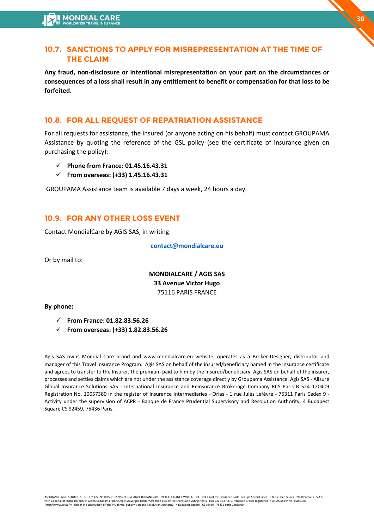# **10.7. SANCTIONS TO APPLY FOR MISREPRESENTATION AT THE TIME OF THE CLAIM**

**Any fraud, non-disclosure or intentional misrepresentation on your part on the circumstances or consequences of a loss shall result in any entitlement to benefit or compensation for that loss to be forfeited.**

# **10.8. FOR ALL REQUEST OF REPATRIATION ASSISTANCE**

For all requests for assistance, the Insured (or anyone acting on his behalf) must contact GROUPAMA Assistance by quoting the reference of the GSL policy (see the certificate of insurance given on purchasing the policy):

- ✓ **Phone from France: 01.45.16.43.31**
- ✓ **From overseas: (+33) 1.45.16.43.31**

GROUPAMA Assistance team is available 7 days a week, 24 hours a day.

# **10.9. FOR ANY OTHER LOSS EVENT**

Contact MondialCare by AGIS SAS, in writing:

**[contact@mondialcare.eu](mailto:contact@mondialcare.eu)**

Or by mail to:

**MONDIALCARE / AGIS SAS 33 Avenue Victor Hugo**  75116 PARIS FRANCE

#### **By phone:**

- ✓ **From France: 01.82.83.56.26**
- ✓ **From overseas: (+33) 1.82.83.56.26**

Agis SAS owns Mondial Care brand and www.mondialcare.eu website, operates as a Broker-Designer, distributor and manager of this Travel Insurance Program. Agis SAS on behalf of the insured/beneficiary named in the Insurance certificate and agrees to transfer to the Insurer, the premium paid to him by the Insured/beneficiary. Agis SAS on behalf of the insurer, processes and settles claims which are not under the assistance coverage directly by Groupama Assistance. Agis SAS - Allsure Global Insurance Solutions SAS - International Insurance and Reinsurance Brokerage Company RCS Paris B 524 120409 Registration No. 10057380 in the register of Insurance Intermediaries - Orias - 1 rue Jules Lefèvre - 75311 Paris Cedex 9 - Activity under the supervision of ACPR - Banque de France Prudential Supervisory and Resolution Authority, 4 Budapest Square CS 92459, 75436 Paris.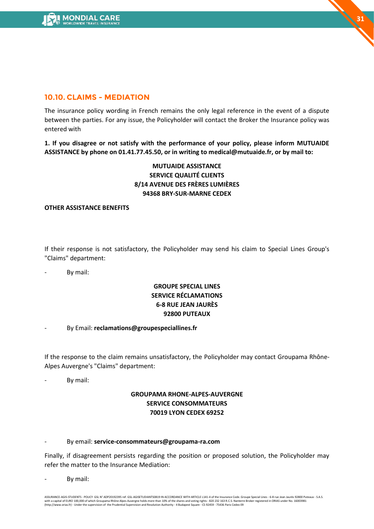

# **10.10. CLAIMS - MEDIATION**

The insurance policy wording in French remains the only legal reference in the event of a dispute between the parties. For any issue, the Policyholder will contact the Broker the Insurance policy was entered with

**1. If you disagree or not satisfy with the performance of your policy, please inform MUTUAIDE ASSISTANCE by phone on 01.41.77.45.50, or in writing to medical@mutuaide.fr, or by mail to:**

# **MUTUAIDE ASSISTANCE SERVICE QUALITÉ CLIENTS 8/14 AVENUE DES FRÈRES LUMIÈRES 94368 BRY-SUR-MARNE CEDEX**

#### **OTHER ASSISTANCE BENEFITS**

If their response is not satisfactory, the Policyholder may send his claim to Special Lines Group's "Claims" department:

By mail:

# **GROUPE SPECIAL LINES SERVICE RÉCLAMATIONS 6-8 RUE JEAN JAURÈS 92800 PUTEAUX**

- By Email: **reclamations@groupespeciallines.fr**

If the response to the claim remains unsatisfactory, the Policyholder may contact Groupama Rhône-Alpes Auvergne's "Claims" department:

By mail:

### **GROUPAMA RHONE-ALPES-AUVERGNE SERVICE CONSOMMATEURS 70019 LYON CEDEX 69252**

#### - By email: **service-consommateurs@groupama-ra.com**

Finally, if disagreement persists regarding the position or proposed solution, the Policyholder may refer the matter to the Insurance Mediation:

By mail:

ASSURANCE-AGIS-STUDENTS - POLICY GSL N° ADP20192395 ref. GSL-AGISETUDIANTS0819 IN ACCORDANCE WITH ARTICLE L141-4 of the Insurance Code. Groupe Special Lines - 6-8 rue Jean Jaurès 92800 Puteaux - S.A.S.<br>with a capital of EU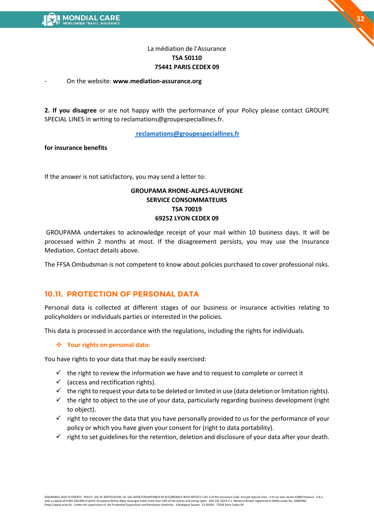

# La médiation de l'Assurance **TSA 50110 75441 PARIS CEDEX 09**

#### - On the website: **www.mediation-assurance.org**

**2. If you disagree** or are not happy with the performance of your Policy please contact GROUPE SPECIAL LINES in writing to reclamations@groupespeciallines.fr.

#### **[reclamations@groupespeciallines.fr](mailto:reclamations@groupespeciallines.fr)**

**for insurance benefits** 

If the answer is not satisfactory, you may send a letter to:

### **GROUPAMA RHONE-ALPES-AUVERGNE SERVICE CONSOMMATEURS TSA 70019 69252 LYON CEDEX 09**

GROUPAMA undertakes to acknowledge receipt of your mail within 10 business days. It will be processed within 2 months at most. If the disagreement persists, you may use the Insurance Mediation. Contact details above.

The FFSA Ombudsman is not competent to know about policies purchased to cover professional risks.

# **10.11. PROTECTION OF PERSONAL DATA**

Personal data is collected at different stages of our business or insurance activities relating to policyholders or individuals parties or interested in the policies.

This data is processed in accordance with the regulations, including the rights for individuals.

#### ❖ **Your rights on personal data:**

You have rights to your data that may be easily exercised:

- $\checkmark$  the right to review the information we have and to request to complete or correct it
- $\checkmark$  (access and rectification rights).
- $\checkmark$  the right to request your data to be deleted or limited in use (data deletion or limitation rights).
- $\checkmark$  the right to object to the use of your data, particularly regarding business development (right to object).
- $\checkmark$  right to recover the data that you have personally provided to us for the performance of your policy or which you have given your consent for (right to data portability).
- $\checkmark$  right to set guidelines for the retention, deletion and disclosure of your data after your death.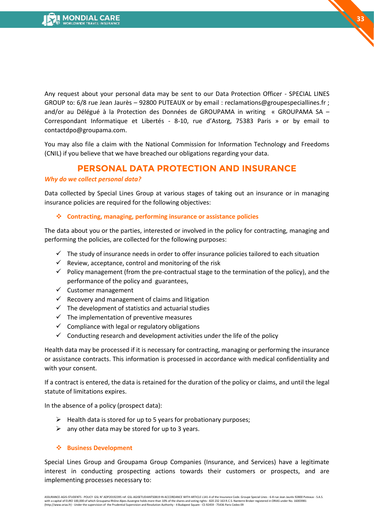Any request about your personal data may be sent to our Data Protection Officer - SPECIAL LINES GROUP to: 6/8 rue Jean Jaurès – 92800 PUTEAUX or by email : reclamations@groupespeciallines.fr ; and/or au Délégué à la Protection des Données de GROUPAMA in writing « GROUPAMA SA – Correspondant Informatique et Libertés - 8-10, rue d'Astorg, 75383 Paris » or by email to contactdpo@groupama.com.

You may also file a claim with the National Commission for Information Technology and Freedoms (CNIL) if you believe that we have breached our obligations regarding your data.

# **PERSONAL DATA PROTECTION AND INSURANCE**

#### *Why do we collect personal data?*

Data collected by Special Lines Group at various stages of taking out an insurance or in managing insurance policies are required for the following objectives:

#### ❖ **Contracting, managing, performing insurance or assistance policies**

The data about you or the parties, interested or involved in the policy for contracting, managing and performing the policies, are collected for the following purposes:

- $\checkmark$  The study of insurance needs in order to offer insurance policies tailored to each situation
- $\checkmark$  Review, acceptance, control and monitoring of the risk
- $\checkmark$  Policy management (from the pre-contractual stage to the termination of the policy), and the performance of the policy and guarantees,
- $\checkmark$  Customer management
- $\checkmark$  Recovery and management of claims and litigation
- $\checkmark$  The development of statistics and actuarial studies
- $\checkmark$  The implementation of preventive measures
- $\checkmark$  Compliance with legal or regulatory obligations
- $\checkmark$  Conducting research and development activities under the life of the policy

Health data may be processed if it is necessary for contracting, managing or performing the insurance or assistance contracts. This information is processed in accordance with medical confidentiality and with your consent.

If a contract is entered, the data is retained for the duration of the policy or claims, and until the legal statute of limitations expires.

In the absence of a policy (prospect data):

- $\triangleright$  Health data is stored for up to 5 years for probationary purposes;
- $\triangleright$  any other data may be stored for up to 3 years.

#### ❖ **Business Development**

Special Lines Group and Groupama Group Companies (Insurance, and Services) have a legitimate interest in conducting prospecting actions towards their customers or prospects, and are implementing processes necessary to: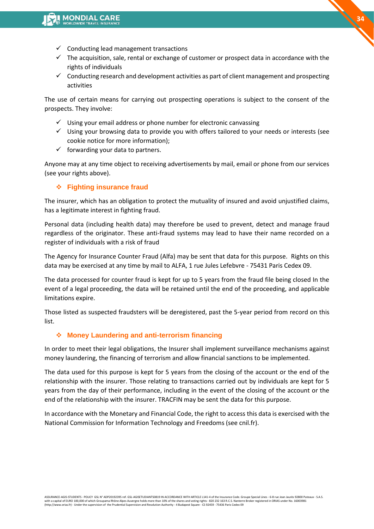- $\checkmark$  Conducting lead management transactions
- $\checkmark$  The acquisition, sale, rental or exchange of customer or prospect data in accordance with the rights of individuals
- $\checkmark$  Conducting research and development activities as part of client management and prospecting activities

The use of certain means for carrying out prospecting operations is subject to the consent of the prospects. They involve:

- $\checkmark$  Using your email address or phone number for electronic canvassing
- $\checkmark$  Using your browsing data to provide you with offers tailored to your needs or interests (see cookie notice for more information);
- $\checkmark$  forwarding your data to partners.

Anyone may at any time object to receiving advertisements by mail, email or phone from our services (see your rights above).

### ❖ **Fighting insurance fraud**

The insurer, which has an obligation to protect the mutuality of insured and avoid unjustified claims, has a legitimate interest in fighting fraud.

Personal data (including health data) may therefore be used to prevent, detect and manage fraud regardless of the originator. These anti-fraud systems may lead to have their name recorded on a register of individuals with a risk of fraud

The Agency for Insurance Counter Fraud (Alfa) may be sent that data for this purpose. Rights on this data may be exercised at any time by mail to ALFA, 1 rue Jules Lefebvre - 75431 Paris Cedex 09.

The data processed for counter fraud is kept for up to 5 years from the fraud file being closed In the event of a legal proceeding, the data will be retained until the end of the proceeding, and applicable limitations expire.

Those listed as suspected fraudsters will be deregistered, past the 5-year period from record on this list.

### ❖ **Money Laundering and anti-terrorism financing**

In order to meet their legal obligations, the Insurer shall implement surveillance mechanisms against money laundering, the financing of terrorism and allow financial sanctions to be implemented.

The data used for this purpose is kept for 5 years from the closing of the account or the end of the relationship with the insurer. Those relating to transactions carried out by individuals are kept for 5 years from the day of their performance, including in the event of the closing of the account or the end of the relationship with the insurer. TRACFIN may be sent the data for this purpose.

In accordance with the Monetary and Financial Code, the right to access this data is exercised with the National Commission for Information Technology and Freedoms (see cnil.fr).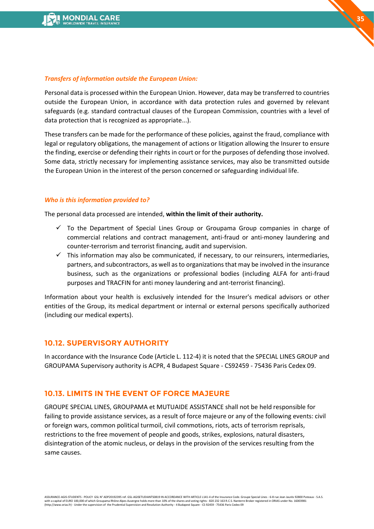### *Transfers of information outside the European Union:*

Personal data is processed within the European Union. However, data may be transferred to countries outside the European Union, in accordance with data protection rules and governed by relevant safeguards (e.g. standard contractual clauses of the European Commission, countries with a level of data protection that is recognized as appropriate...).

These transfers can be made for the performance of these policies, against the fraud, compliance with legal or regulatory obligations, the management of actions or litigation allowing the Insurer to ensure the finding, exercise or defending their rights in court or for the purposes of defending those involved. Some data, strictly necessary for implementing assistance services, may also be transmitted outside the European Union in the interest of the person concerned or safeguarding individual life.

# *Who is this information provided to?*

The personal data processed are intended, **within the limit of their authority.**

- $\checkmark$  To the Department of Special Lines Group or Groupama Group companies in charge of commercial relations and contract management, anti-fraud or anti-money laundering and counter-terrorism and terrorist financing, audit and supervision.
- $\checkmark$  This information may also be communicated, if necessary, to our reinsurers, intermediaries, partners, and subcontractors, as well as to organizations that may be involved in the insurance business, such as the organizations or professional bodies (including ALFA for anti-fraud purposes and TRACFIN for anti money laundering and ant-terrorist financing).

Information about your health is exclusively intended for the Insurer's medical advisors or other entities of the Group, its medical department or internal or external persons specifically authorized (including our medical experts).

# **10.12. SUPERVISORY AUTHORITY**

In accordance with the Insurance Code (Article L. 112-4) it is noted that the SPECIAL LINES GROUP and GROUPAMA Supervisory authority is ACPR, 4 Budapest Square - CS92459 - 75436 Paris Cedex 09.

# **10.13. LIMITS IN THE EVENT OF FORCE MAJEURE**

GROUPE SPECIAL LINES, GROUPAMA et MUTUAIDE ASSISTANCE shall not be held responsible for failing to provide assistance services, as a result of force majeure or any of the following events: civil or foreign wars, common political turmoil, civil commotions, riots, acts of terrorism reprisals, restrictions to the free movement of people and goods, strikes, explosions, natural disasters, disintegration of the atomic nucleus, or delays in the provision of the services resulting from the same causes.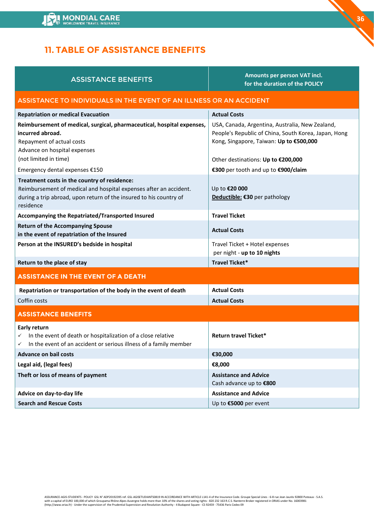

# <span id="page-35-0"></span>**11. TABLE OF ASSISTANCE BENEFITS**

| <b>ASSISTANCE BENEFITS</b> |  |
|----------------------------|--|
|                            |  |

**Amounts per person VAT incl. for the duration of the POLICY** **36**

### ASSISTANCE TO INDIVIDUALS IN THE EVENT OF AN ILLNESS OR AN ACCIDENT

| <b>Repatriation or medical Evacuation</b>                                                                                                                                                            | <b>Actual Costs</b>                                                                                                                                |
|------------------------------------------------------------------------------------------------------------------------------------------------------------------------------------------------------|----------------------------------------------------------------------------------------------------------------------------------------------------|
| Reimbursement of medical, surgical, pharmaceutical, hospital expenses,<br>incurred abroad.<br>Repayment of actual costs<br>Advance on hospital expenses                                              | USA, Canada, Argentina, Australia, New Zealand,<br>People's Republic of China, South Korea, Japan, Hong<br>Kong, Singapore, Taiwan: Up to €500,000 |
| (not limited in time)                                                                                                                                                                                | Other destinations: Up to €200,000                                                                                                                 |
| Emergency dental expenses €150                                                                                                                                                                       | €300 per tooth and up to €900/claim                                                                                                                |
| Treatment costs in the country of residence:<br>Reimbursement of medical and hospital expenses after an accident.<br>during a trip abroad, upon return of the insured to his country of<br>residence | Up to €20 000<br>Deductible: €30 per pathology                                                                                                     |
| Accompanying the Repatriated/Transported Insured                                                                                                                                                     | <b>Travel Ticket</b>                                                                                                                               |
| <b>Return of the Accompanying Spouse</b><br>in the event of repatriation of the Insured                                                                                                              | <b>Actual Costs</b>                                                                                                                                |
| Person at the INSURED's bedside in hospital                                                                                                                                                          | Travel Ticket + Hotel expenses<br>per night - up to 10 nights                                                                                      |
| Return to the place of stay                                                                                                                                                                          | Travel Ticket*                                                                                                                                     |
| <b>ASSISTANCE IN THE EVENT OF A DEATH</b>                                                                                                                                                            |                                                                                                                                                    |
| Repatriation or transportation of the body in the event of death                                                                                                                                     | <b>Actual Costs</b>                                                                                                                                |
| Coffin costs                                                                                                                                                                                         | <b>Actual Costs</b>                                                                                                                                |
| <b>ASSISTANCE BENEFITS</b>                                                                                                                                                                           |                                                                                                                                                    |
| Early return<br>In the event of death or hospitalization of a close relative<br>✓<br>In the event of an accident or serious illness of a family member<br>✓                                          | <b>Return travel Ticket*</b>                                                                                                                       |
| <b>Advance on bail costs</b>                                                                                                                                                                         | €30,000                                                                                                                                            |
| Legal aid, (legal fees)                                                                                                                                                                              | €8,000                                                                                                                                             |
| Theft or loss of means of payment                                                                                                                                                                    | <b>Assistance and Advice</b><br>Cash advance up to €800                                                                                            |
| Advice on day-to-day life                                                                                                                                                                            | <b>Assistance and Advice</b>                                                                                                                       |
| <b>Search and Rescue Costs</b>                                                                                                                                                                       | Up to €5000 per event                                                                                                                              |